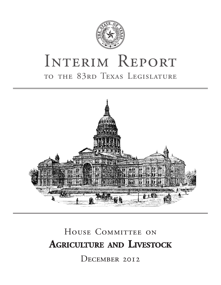

# INTERIM REPORT to the 83rd Texas Legislature



# HOUSE COMMITTEE ON **Agriculture and Livestock**

December 2012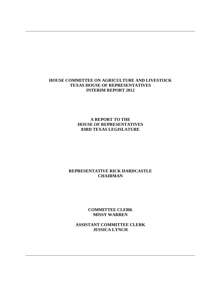#### **HOUSE COMMITTEE ON AGRICULTURE AND LIVESTOCK TEXAS HOUSE OF REPRESENTATIVES INTERIM REPORT 2012**

**A REPORT TO THE HOUSE OF REPRESENTATIVES 83RD TEXAS LEGISLATURE**

#### **REPRESENTATIVE RICK HARDCASTLE CHAIRMAN**

**COMMITTEE CLERK MISSY WARREN**

**ASSISTANT COMMITTEE CLERK JESSICA LYNCH**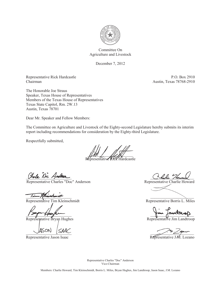

Committee On Agriculture and Livestock

December 7, 2012

Representative Rick Hardcastle P.O. Box 2910 Chairman Austin, Texas 78768-2910

The Honorable Joe Straus Speaker, Texas House of Representatives Members of the Texas House of Representatives Texas State Capitol, Rm. 2W.13 Austin, Texas 78701

Dear Mr. Speaker and Fellow Members:

The Committee on Agriculture and Livestock of the Eighty-second Legislature hereby submits its interim report including recommendations for consideration by the Eighty-third Legislature.

Respectfully submitted,

 $\mathbb{Z}$ 

Representative Rick Hardcastle

Representative Charles "Doc" Anderson Representative Charlie Howard

tampohmidt

Representative Tim Kleinschmidt **Representative Borris L. Miles** Representative Borris L. Miles

Representative Bryan Hughes Representative Jim Landtroop

Representative Jason Isaac Representative J.M. Lozano

nola Noc American

1 au Concréter

ANUITE SAME

Representative Charles "Doc" Anderson Vice-Chairman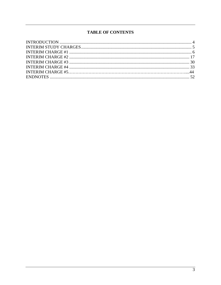# **TABLE OF CONTENTS**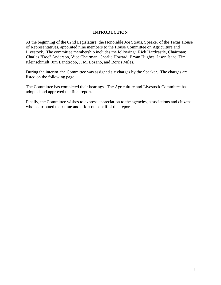#### **INTRODUCTION**

<span id="page-4-0"></span>At the beginning of the 82nd Legislature, the Honorable Joe Straus, Speaker of the Texas House of Representatives, appointed nine members to the House Committee on Agriculture and Livestock. The committee membership includes the following: Rick Hardcastle, Chairman; Charles "Doc" Anderson, Vice Chairman; Charlie Howard, Bryan Hughes, Jason Isaac, Tim Kleinschmidt, Jim Landtroop, J. M. Lozano, and Borris Miles.

During the interim, the Committee was assigned six charges by the Speaker. The charges are listed on the following page.

The Committee has completed their hearings. The Agriculture and Livestock Committee has adopted and approved the final report.

Finally, the Committee wishes to express appreciation to the agencies, associations and citizens who contributed their time and effort on behalf of this report.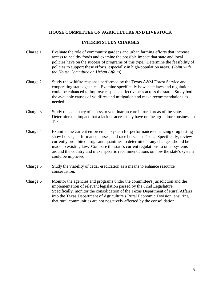#### **HOUSE COMMITTEE ON AGRICULTURE AND LIVESTOCK**

#### **INTERIM STUDY CHARGES**

- <span id="page-5-0"></span>Charge 1 Evaluate the role of community gardens and urban farming efforts that increase access to healthy foods and examine the possible impact that state and local policies have on the success of programs of this type. Determine the feasibility of policies to support these efforts, especially in high-population areas. (*Joint with the House Committee on Urban Affairs)*
- Charge 2 Study the wildfire response performed by the Texas A&M Forest Service and cooperating state agencies. Examine specifically how state laws and regulations could be enhanced to improve response effectiveness across the state. Study both the available causes of wildfires and mitigation and make recommendations as needed.
- Charge 3 Study the adequacy of access to veterinarian care in rural areas of the state. Determine the impact that a lack of access may have on the agriculture business in Texas.
- Charge 4 Examine the current enforcement system for performance-enhancing drug testing show horses, performance horses, and race horses in Texas. Specifically, review currently prohibited drugs and quantities to determine if any changes should be made to existing law. Compare the state's current regulations to other systems around the country and make specific recommendations on how the state's system could be improved.
- Charge 5 Study the viability of cedar eradication as a means to enhance resource conservation.
- Charge 6 Monitor the agencies and programs under the committee's jurisdiction and the implementation of relevant legislation passed by the 82nd Legislature. Specifically, monitor the consolidation of the Texas Department of Rural Affairs into the Texas Department of Agriculture's Rural Economic Division, ensuring that rural communities are not negatively affected by the consolidation.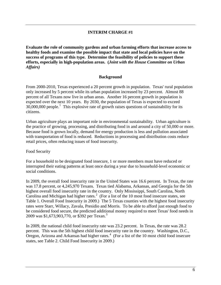#### **INTERIM CHARGE #1**

<span id="page-6-0"></span>**Evaluate the role of community gardens and urban farming efforts that increase access to healthy foods and examine the possible impact that state and local policies have on the success of programs of this type. Determine the feasibility of policies to support these efforts, especially in high-population areas. (***Joint with the House Committee on Urban Affairs)*

#### **Background**

From 2000-2010, Texas experienced a 20 percent growth in population. Texas' rural population only increased by 5 percent while its urban population increased by 23 percent. Almost 88 percent of all Texans now live in urban areas. Another 16 percent growth in population is expected over the next 10 years. By 2030, the population of Texas is expected to exceed  $30,000,000$  people.<sup>[1](#page-53-0)</sup> This explosive rate of growth raises questions of sustainability for its citizens.

Urban agriculture plays an important role in environmental sustainability. Urban agriculture is the practice of growing, processing, and distributing food in and around a city of 50,000 or more. Because food is grown locally, demand for energy production is less and pollution associated with transportation of food is reduced. Reductions in processing and distribution costs reduce retail prices, often reducing issues of food insecurity.

#### Food Security

For a household to be designated food insecure, 1 or more members must have reduced or interrupted their eating patterns at least once during a year due to household-level economic or social conditions.

In 2009, the overall food insecurity rate in the United States was 16.6 percent. In Texas, the rate was 17.8 percent, or 4,245,970 Texans. Texas tied Alabama, Arkansas, and Georgia for the 5th highest overall food insecurity rate in the country. Only Mississippi, South Carolina, North Carolina and Michigan had higher rates. $2 \left($  $2 \left($  For a list of the 10 most food insecure states, see Table 1. Overall Food Insecurity in 2009.) The 5 Texas counties with the highest food insecurity rates were Starr, Willacy, Zavala, Presidio and Morris. To be able to afford just enough food to be considered food secure, the predicted additional money required to meet Texas' food needs in 2009 was \$1,67[3](#page-53-2),903,770, or \$392 per Texan.<sup>3</sup>

In 2009, the national child food insecurity rate was 23.2 percent. In Texas, the rate was 28.2 percent. This was the 5th highest child food insecurity rate in the country. Washington, D.C., Oregon, Arizona and Arkansas had higher rates. $4$  (For a list of the 10 most child food insecure states, see Table 2. Child Food Insecurity in 2009.)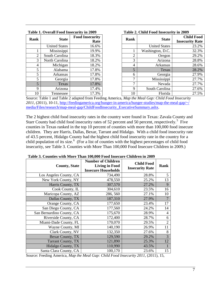| Table 1. Overall Food Insecurity in 2009 |                      |                                |  |  |  |  |
|------------------------------------------|----------------------|--------------------------------|--|--|--|--|
| Rank                                     | <b>State</b>         | <b>Food Insecurity</b><br>Rate |  |  |  |  |
|                                          | <b>United States</b> | 16.6%                          |  |  |  |  |
| 1                                        | Mississippi          | 19.9%                          |  |  |  |  |
| $\overline{2}$                           | South Carolina       | 18.3%                          |  |  |  |  |
| 3                                        | North Carolina       | 18.2%                          |  |  |  |  |
| 4                                        | Michigan             | 18.2%                          |  |  |  |  |
| 5                                        | Alabama              | 17.8%                          |  |  |  |  |
| 5                                        | Arkansas             | 17.8%                          |  |  |  |  |
| 5                                        | Georgia              | 17.8%                          |  |  |  |  |
| 5                                        | Texas                | 17.8%                          |  |  |  |  |
| 9                                        | Arizona              | 17.4%                          |  |  |  |  |
| 10                                       | Tennessee            | 17.3%                          |  |  |  |  |

| Table 2. Child Food Insecurity in 2009 |  |  |  |  |
|----------------------------------------|--|--|--|--|
|----------------------------------------|--|--|--|--|

| nk             | <b>State</b>         | <b>Food Insecurity</b><br>Rate | Rank | <b>State</b>         | <b>Child Food</b><br><b>Insecurity Rate</b> |
|----------------|----------------------|--------------------------------|------|----------------------|---------------------------------------------|
|                | <b>United States</b> | 16.6%                          |      | <b>United States</b> | 23.2%                                       |
|                | Mississippi          | 19.9%                          |      | Washington, D.C.     | 32.3%                                       |
| 2              | South Carolina       | 18.3%                          | っ    | Oregon               | 29.2%                                       |
| 3              | North Carolina       | 18.2%                          | 3    | Arizona              | 28.8%                                       |
| $\overline{4}$ | Michigan             | 18.2%                          | 4    | Arkansas             | 28.6%                                       |
|                | Alabama              | 17.8%                          | 5    | Texas                | 28.2%                                       |
| 5              | Arkansas             | 17.8%                          | 6    | Georgia              | 27.9%                                       |
| 5              | Georgia              | 17.8%                          |      | Mississippi          | 27.7%                                       |
| 5              | Texas                | 17.8%                          | ⇁    | Nevada               | 27.7%                                       |
| 9              | Arizona              | 17.4%                          | 9    | South Carolina       | 27.6%                                       |
| 10             | Tennessee            | 17.3%                          | 10   | Florida              | 27.5%                                       |

Source: Table 1 and Table 2 adapted from Feeding America, *Map the Meal Gap: Child Food Insecurity 2011*, (2011), 10-11, [http://feedingamerica.org/hunger-in-america/hunger-studies/map-the-meal-gap/~/](http://feedingamerica.org/hunger-in-america/hunger-studies/map-the-meal-gap/~/media/Files/research/map-meal-gap/ChildFoodInsecurity_ExecutiveSummary.ashx) [media/Files/research/map-meal-gap/ChildFoodInsecurity\\_ExecutiveSummary.ashx.](http://feedingamerica.org/hunger-in-america/hunger-studies/map-the-meal-gap/~/media/Files/research/map-meal-gap/ChildFoodInsecurity_ExecutiveSummary.ashx)

The 2 highest child food insecurity rates in the country were found in Texas: Zavala County and Starr County had child food insecurity rates of [5](#page-54-0)2 percent and 50 percent, respectively.<sup>5</sup> Five counties in Texas ranked in the top 10 percent of counties with more than 100,000 food insecure children. They are Harris, Dallas, Bexar, Tarrant and Hidalgo. With a child food insecurity rate of 43.5 percent, Hidalgo County had the highest child food insecurity rate in the country for a child population of its size.<sup>[6](#page-54-1)</sup> (For a list of counties with the highest percentages of child food insecurity, see Table 3. Counties with More Than 100,000 Food Insecure Children in 2009.)

| radio of Countles with broto right rootood root msecure Children in 2007 |                                                                                  |                                             |                |
|--------------------------------------------------------------------------|----------------------------------------------------------------------------------|---------------------------------------------|----------------|
| <b>County, State</b>                                                     | <b>Number of Children</b><br><b>Living in Food</b><br><b>Insecure Households</b> | <b>Child Food</b><br><b>Insecurity Rate</b> | <b>Rank</b>    |
| Los Angeles County, CA                                                   | 734,490                                                                          | 28.8%                                       | 5              |
| New York County, NY                                                      | 478,550                                                                          | 25.2%                                       | 13             |
| Harris County, TX                                                        | 307,570                                                                          | 27.2%                                       | 9              |
| Cook County, IL                                                          | 304,610                                                                          | 23.5%                                       | 16             |
| Maricopa County, AZ                                                      | 286, 560                                                                         | 27.1%                                       | 10             |
| Dallas County, TX                                                        | 187,310                                                                          | 27.9%                                       | $\overline{7}$ |
| Orange County, CA                                                        | 177,650                                                                          | 23.4%                                       | 17             |
| San Diego County, CA                                                     | 177,560                                                                          | 24.2%                                       | 14             |
| San Bernardino County, CA                                                | 175,670                                                                          | 28.9%                                       | 4              |
| Riverside County, CA                                                     | 172,400                                                                          | 28.7%                                       | 6              |
| Miami-Dade County, FL                                                    | 170,070                                                                          | 29.5%                                       | $\overline{2}$ |
| Wayne County, MI                                                         | 140,190                                                                          | 26.9%                                       | 11             |
| Clark County, NV                                                         | 132,350                                                                          | 27.6%                                       | 8              |
| Bexar County, TX                                                         | 129,590                                                                          | 29.2%                                       | 3              |
| <b>Tarrant County, TX</b>                                                | 121,890                                                                          | 25.3%                                       | 12             |
| Hidalgo County, TX                                                       | 110,990                                                                          | 43.5%                                       |                |
| Santa Clara County, CA                                                   | 100,170                                                                          | 23.6%                                       | 15             |

**Table 3. Counties with More Than 100,000 Food Insecure Children in 2009**

Source: Feeding America, *Map the Meal Gap: Child Food Insecurity 2011*, (2011), 15,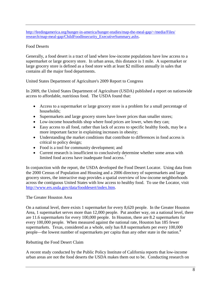[http://feedingamerica.org/hunger-in-america/hunger-studies/map-the-meal-gap/~/media/Files/](http://feedingamerica.org/hunger-in-america/hunger-studies/map-the-meal-gap/~/media/Files/research/map-meal-gap/ChildFoodInsecurity_ExecutiveSummary.ashx) [research/map-meal-gap/ChildFoodInsecurity\\_ExecutiveSummary.ashx.](http://feedingamerica.org/hunger-in-america/hunger-studies/map-the-meal-gap/~/media/Files/research/map-meal-gap/ChildFoodInsecurity_ExecutiveSummary.ashx)

#### Food Deserts

Generally, a food desert is a tract of land where low-income populations have low access to a supermarket or large grocery store. In urban areas, this distance is 1 mile. A supermarket or large grocery store is defined as a food store with at least \$2 million annually in sales that contains all the major food departments.

United States Department of Agriculture's 2009 Report to Congress

In 2009, the United States Department of Agriculture (USDA) published a report on nationwide access to affordable, nutritious food. The USDA found that:

- Access to a supermarket or large grocery store is a problem for a small percentage of households;
- Supermarkets and large grocery stores have lower prices than smaller stores;
- Low-income households shop where food prices are lower, when they can;
- Easy access to all food, rather than lack of access to specific healthy foods, may be a more important factor in explaining increases in obesity;
- Understanding the market conditions that contribute to differences in food access is critical to policy design;
- Food is a tool for community development; and
- Current research is insufficient to conclusively determine whether some areas with limited food access have inadequate food access.

In conjunction with the report, the USDA developed the Food Desert Locator. Using data from the 2000 Census of Population and Housing and a 2006 directory of supermarkets and large grocery stores, the interactive map provides a spatial overview of low-income neighborhoods across the contiguous United States with low access to healthy food. To use the Locator, visit [http://www.ers.usda.gov/data/fooddesert/index.htm.](http://www.ers.usda.gov/data/fooddesert/index.htm)

#### The Greater Houston Area

On a national level, there exists 1 supermarket for every 8,620 people. In the Greater Houston Area, 1 supermarket serves more than 12,000 people. Put another way, on a national level, there are 11.6 supermarkets for every 100,000 people. In Houston, there are 8.2 supermarkets for every 100,000 people. When measured against the national rate, Houston has 185 fewer supermarkets. Texas, considered as a whole, only has 8.8 supermarkets per every 100,000 people—the lowest number of supermarkets per capita than any other state in the nation.<sup>[8](#page-54-3)</sup>

#### Rebutting the Food Desert Claim

A recent study conducted by the Public Policy Institute of California reports that low-income urban areas are not the food deserts the USDA makes them out to be. Conducting research on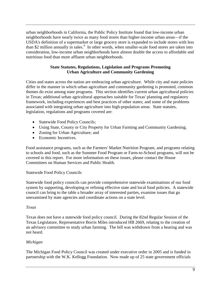urban neighborhoods in California, the Public Policy Institute found that low-income urban neighborhoods have nearly twice as many food stores than higher-income urban areas—if the USDA's definition of a supermarket or large grocery store is expanded to include stores with less than \$2 million annually in sales.<sup>[9](#page-55-0)</sup> In other words, when smaller-scale food stores are taken into consideration, low-income urban neighborhoods have almost double the access to affordable and nutritious food than more affluent urban neighborhoods.

#### **State Statutes, Regulations, Legislation and Programs Promoting Urban Agriculture and Community Gardening**

Cities and states across the nation are embracing urban agriculture. While city and state policies differ in the manner in which urban agriculture and community gardening is promoted, common themes do exist among state programs. This section identifies current urban agricultural policies in Texas; additional urban agricultural approaches suitable for Texas' planning and regulatory framework, including experiences and best practices of other states; and some of the problems associated with integrating urban agriculture into high-population areas. State statutes, legislation, regulations and programs covered are:

- Statewide Food Policy Councils;
- Using State, County or City Property for Urban Farming and Community Gardening;
- Zoning for Urban Agriculture; and
- Economic Incentives.

Food assistance programs, such as the Farmers' Market Nutrition Program, and programs relating to schools and food, such as the Summer Food Program or Farm-to-School programs, will not be covered in this report. For more information on these issues, please contact the House Committees on Human Services and Public Health.

#### Statewide Food Policy Councils

Statewide food policy councils can provide comprehensive statewide examinations of our food system by supporting, developing or refining effective state and local food policies. A statewide council can bring to the table a broader array of interested parties, examine issues that go unexamined by state agencies and coordinate actions on a state level.

#### *Texas*

Texas does not have a statewide food policy council. During the 82nd Regular Session of the Texas Legislature, Representative Borris Miles introduced HB 2669, relating to the creation of an advisory committee to study urban farming. The bill was withdrawn from a hearing and was not heard.

#### *Michigan*

The Michigan Food Policy Council was created under executive order in 2005 and is funded in partnership with the W.K. Kellogg Foundation. Now made up of 25 state government officials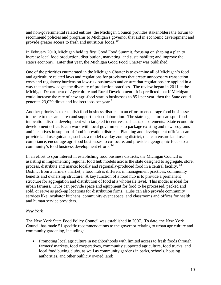and non-governmental related entities, the Michigan Council provides stakeholders the forum to recommend policies and programs to Michigan's governor that aid in economic development and provide greater access to fresh and nutritious foods.<sup>10</sup>

In February 2010, Michigan held its first Good Food Summit, focusing on shaping a plan to increase local food production, distribution, marketing, and sustainability; and improve the state's economy. Later that year, the Michigan Good Food Charter was published.

One of the priorities enumerated in the Michigan Charter is to examine all of Michigan's food and agriculture related laws and regulations for provisions that create unnecessary transaction costs and regulatory burdens on low-risk businesses and ensure that regulations are applied in a way that acknowledges the diversity of production practices. The review began in 2011 at the Michigan Department of Agriculture and Rural Development. It is predicted that if Michigan could increase the rate of new agri-food startup businesses to 851 per year, then the State could generate  $23,020$  direct and indirect jobs per year.<sup>[11](#page-55-2)</sup>

Another priority is to establish food business districts in an effort to encourage food businesses to locate to the same area and support their collaboration. The state legislature can spur food innovation district development with targeted incentives such as tax abatements. State economic development officials can work with local governments to package existing and new programs and incentives in support of food innovation districts. Planning and development officials can provide land use guidance, such as a model overlay zoning district, that can ensure land use compliance, encourage agri-food businesses to co-locate, and provide a geographic focus to a community's food business development efforts.<sup>[12](#page-55-3)</sup>

In an effort to spur interest in establishing food business districts, the Michigan Council is assisting in implementing regional food hub models across the state designed to aggregate, store, process, distribute and market locally and regionally-produced food in a central facility.<sup>[13](#page-55-4)</sup> Distinct from a farmers' market, a food hub is different in management practices, community benefits and ownership structure. A key function of a food hub is to provide a permanent structure for aggregation and distribution of food at a wholesale level. This model is ideal for urban farmers. Hubs can provide space and equipment for food to be processed, packed and sold, or serve as pick-up locations for distribution firms. Hubs can also provide community services like incubator kitchens, community event space, and classrooms and offices for health and human service providers.

#### *New York*

The New York State Food Policy Council was established in 2007. To date, the New York Council has made 51 specific recommendations to the governor relating to urban agriculture and community gardening, including:

• Promoting local agriculture in neighborhoods with limited access to fresh foods through farmers' markets, food cooperatives, community supported agriculture, food trucks, and local food buying clubs, as well as community gardens in parks, schools, housing authorities, and other publicly owned land;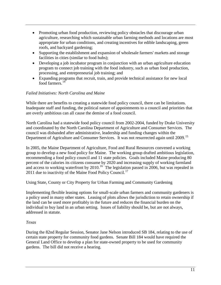- Promoting urban food production, reviewing policy obstacles that discourage urban agriculture, researching which sustainable urban farming methods and locations are most appropriate for urban conditions, and creating incentives for edible landscaping, green roofs, and backyard gardening;
- Supporting the establishment and expansion of wholesale farmers' markets and storage facilities in cities (similar to food hubs);
- Developing a job incubator program in conjunction with an urban agriculture education program to connect job training with the food industry, such as urban food production, processing, and entrepreneurial job training; and
- Expanding programs that recruit, train, and provide technical assistance for new local  $\frac{1}{600}$  farmers<sup>[14](#page-55-5)</sup>

# *Failed Initiatives: North Carolina and Maine*

While there are benefits to creating a statewide food policy council, there can be limitations. Inadequate staff and funding, the political nature of appointments to a council and priorities that are overly ambitious can all cause the demise of a food council.

North Carolina had a statewide food policy council from 2002-2004, funded by Drake University and coordinated by the North Carolina Department of Agriculture and Consumer Services. The council was disbanded after administrative, leadership and funding changes within the Department of Agriculture and Consumer Services. It was not resurrected again until 2009.<sup>[15](#page-55-6)</sup>

In 2005, the Maine Department of Agriculture, Food and Rural Resources convened a working group to develop a new food policy for Maine. The working group drafted ambitious legislation, recommending a food policy council and 11 state policies. Goals included Maine producing 80 percent of the calories its citizens consume by 2020 and increasing supply of working farmland and access to working waterfront by 2010.<sup>[16](#page-55-7)</sup> The legislation passed in 2006, but was repealed in 2011 due to inactivity of the Maine Food Policy Council.<sup>[17](#page-55-8)</sup>

Using State, County or City Property for Urban Farming and Community Gardening

Implementing flexible leasing options for small-scale urban farmers and community gardeners is a policy used in many other states. Leasing of plots allows the jurisdiction to retain ownership if the land can be used more profitably in the future and reduces the financial burden on the individual to buy land in an urban setting. Issues of liability should be, but are not always, addressed in statute.

#### *Texas*

During the 82nd Regular Session, Senator Jane Nelson introduced SB 184, relating to the use of certain state property for community food gardens. Senate Bill 184 would have required the General Land Office to develop a plan for state-owned property to be used for community gardens. The bill did not receive a hearing.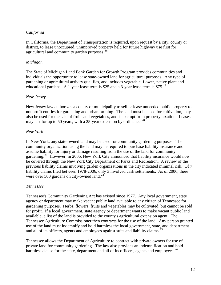## *California*

In California, the Department of Transportation is required, upon request by a city, county or district, to lease unoccupied, unimproved property held for future highway use first for agricultural and community garden purposes.<sup>[18](#page-55-9)</sup>

#### *Michigan*

The State of Michigan Land Bank Garden for Growth Program provides communities and individuals the opportunity to lease state-owned land for agricultural purposes. Any type of gardening or agricultural activity qualifies, and includes vegetable, flower, native plant and educational gardens. A 1-year lease term is \$25 and a 3-year lease term is \$75.<sup>[19](#page-55-10)</sup>

#### *New Jersey*

New Jersey law authorizes a county or municipality to sell or lease unneeded public property to nonprofit entities for gardening and urban farming. The land must be used for cultivation, may also be used for the sale of fruits and vegetables, and is exempt from property taxation. Leases may last for up to 50 years, with a 25-year extension by ordinance.<sup>[20](#page-55-11)</sup>

#### *New York*

In New York, any state-owned land may be used for community gardening purposes. The community organization using the land may be required to purchase liability insurance and assume liability for injury or damage resulting from the use of the land for community gardening.<sup>21</sup> However, in 2006, New York City announced that liability insurance would now be covered through the New York City Department of Parks and Recreation. A review of the previous liability claims involving garden organizations in the city indicated minimal risk. Of 7 liability claims filed between 1978-2006, only 3 involved cash settlements. As of 2006, there were over 500 gardens on city-owned land.<sup>[22](#page-55-13)</sup>

#### *Tennessee*

Tennessee's Community Gardening Act has existed since 1977. Any local government, state agency or department may make vacant public land available to any citizen of Tennessee for gardening purposes. Herbs, flowers, fruits and vegetables may be cultivated, but cannot be sold for profit. If a local government, state agency or department wants to make vacant public land available, a list of the land is provided to the county's agricultural extension agent. The Tennessee Agriculture Commissioner then contracts for the use of the land. Any person granted use of the land must indemnify and hold harmless the local government, state, and department and all of its officers, agents and employees against suits and liability claims.<sup>[23](#page-55-14)</sup>

Tennessee allows the Department of Agriculture to contract with private owners for use of private land for community gardening. The law also provides an indemnification and hold harmless clause for the state, department and all of its officers, agents and employees.  $24$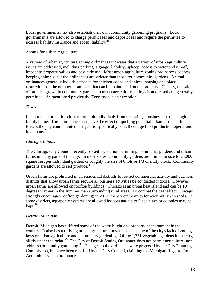Local governments may also establish their own community gardening programs. Local governments are allowed to charge permit fees and deposit fees and require the permittee to possess liability insurance and accept liability.[25](#page-55-16)

## Zoning for Urban Agriculture

A review of urban agriculture zoning ordinances indicates that a variety of urban agriculture issues are addressed, including parking, signage, liability, upkeep, access to water and runoff, impact to property values and pesticide use. Most urban agriculture zoning ordinances address keeping animals, but the ordinances are stricter than those for community gardens. Animal ordinances generally include setbacks for chicken coops and animal housing and place restrictions on the number of animals that can be maintained on the property. Usually, the sale of produce grown in community gardens in urban agriculture settings is addressed and generally permitted. As mentioned previously, Tennessee is an exception.

## *Texas*

It is not uncommon for cities to prohibit individuals from operating a business out of a singlefamily home. These ordinances can have the effect of quelling potential urban farmers. In Frisco, the city council voted last year to specifically ban all cottage food production operations in a home. $26$ 

# *Chicago, Illinois*

The Chicago City Council recently passed legislation permitting community gardens and urban farms in many parts of the city. In most zones, community gardens are limited in size to 25,000 square feet per individual garden, or roughly the size of 8 lots or 1/3 of a city block. Community gardens are allowed to sell produce. $27$ 

Urban farms are prohibited in all residential districts to restrict commercial activity and business districts that allow urban farms require all business activities be conducted indoors. However, urban farms are allowed on rooftop buildings. Chicago is an urban heat island and can be 10 degrees warmer in the summer than surrounding rural areas. To combat the heat effect, Chicago strongly encourages rooftop gardening; in 2011, there were permits for over 600 green roofs. In some districts, aquaponic systems are allowed indoors and up to 5 bee hives or colonies may be  $kept.<sup>28</sup>$  $kept.<sup>28</sup>$  $kept.<sup>28</sup>$ 

# *Detroit, Michigan*

Detroit, Michigan has suffered some of the worst blight and property abandonment in the country. It also has a thriving urban agriculture movement—in spite of the city's lack of zoning laws on urban agriculture and community gardening. Of the 1,351 vegetable gardens in the city, all fly under the radar.<sup>29</sup> The City of Detroit Zoning Ordinance does not permit agriculture, nor address community gardening.<sup>[30](#page-55-21)</sup> Changes to the ordinance were proposed by the City Planning Commission, but have been rebuffed by the City Council, claiming the Michigan Right to Farm Act prohibits such ordinances.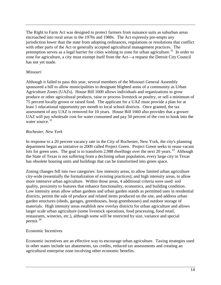The Right to Farm Act was designed to protect farmers from nuisance suits as suburban areas encroached into rural areas in the 1970s and 1980s. The Act expressly pre-empts any jurisdiction lower than the state from adopting ordinances, regulations or resolutions that conflict with other parts of the Act or generally accepted agricultural management practices. The preemption serves as a legal barrier for cities wishing to zone for urban agriculture.<sup>[31](#page-55-22)</sup> In order to zone for agriculture, a city must exempt itself from the Act—a request the Detroit City Council has not yet made.

#### *Missouri*

Although it failed to pass this year, several members of the Missouri General Assembly sponsored a bill to allow municipalities to designate blighted areas of a community as Urban Agriculture Zones (UAZs). House Bill 1600 allows individuals and organizations to grow produce or other agricultural products, raise or process livestock or poultry, or sell a minimum of 75 percent locally grown or raised food. The applicant for a UAZ must provide a plan for at least 1 educational opportunity per month to local school districts. Once granted, the tax assessment of any UAZ is removed for 10 years. House Bill 1660 also provides that a grower UAZ will pay wholesale cost for water consumed and pay 50 percent of the cost to hook into the water source.<sup>[32](#page-55-23)</sup>

## *Rochester, New York*

In response to a 20 percent vacancy rate in the City of Rochester, New York, the city's planning department began an initiative in 2009 called Project Green. Project Green seeks to reuse vacant lots for green uses. The goal is to transform 2,988 dwellings over the next 20 years.<sup>[33](#page-55-24)</sup> Although the State of Texas is not suffering from a declining urban population, every large city in Texas has obsolete housing units and buildings that can be transformed into green space.

Zoning changes fell into two categories: low intensity areas, to allow limited urban agriculture city-wide (essentially the formalization of existing practices); and high intensity areas, to allow more intensive urban agriculture. Within those areas, 4 additional criteria were used: soil quality, proximity to features that enhance functionality, economics, and building condition. Low intensity areas allow urban gardens and urban garden stands as permitted uses in residential districts, permit the sale of produce and related items produced on the site, and address urban garden structures (sheds, garages, greenhouses, hoop greenhouses) and outdoor storage of materials. High intensity areas establish new overlay districts for urban agriculture and allows larger scale urban agriculture (some livestock operations, food processing, food retail, restaurants, wineries, etc.), although some will be restricted by size, variance and special permit.[34](#page-55-25)

# Economic Incentives

Economic incentives are an effective way to encourage urban agriculture. Taxing strategies used in other states include tax abatements, tax credits, reduced tax assessments and creating an agricultural enterprise zone involving other economic benefits.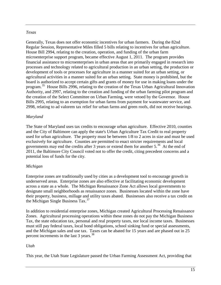## *Texas*

Generally, Texas does not offer economic incentives for urban farmers. During the 82nd Regular Session, Representative Miles filled 5 bills relating to incentives for urban agriculture. House Bill 2994, relating to the creation, operation, and funding of the urban farm microenterprise support program, became effective August 1, 2011. The program provides financial assistance to microenterprises in urban areas that are primarily engaged in research into processes and technology related to agricultural production in an urban setting, the production or development of tools or processes for agriculture in a manner suited for an urban setting, or agricultural activities in a manner suited for an urban setting. State money is prohibited, but the board is authorized to accept certain gifts and grants of money for use in making loans under the program.<sup>[35](#page-55-26)</sup> House Bills 2996, relating to the creation of the Texas Urban Agricultural Innovation Authority, and 2997, relating to the creation and funding of the urban farming pilot program and the creation of the Select Committee on Urban Farming, were vetoed by the Governor. House Bills 2995, relating to an exemption for urban farms from payment for wastewater service, and 2998, relating to ad valorem tax relief for urban farms and green roofs, did not receive hearings.

## *Maryland*

The State of Maryland uses tax credits to encourage urban agriculture. Effective 2010, counties and the City of Baltimore can apply the state's Urban Agriculture Tax Credit to real property used for urban agriculture. The property must be between 1/8 to 2 acres in size and must be used exclusively for agriculture. Counties are permitted to enact stricter requirements and local governments may end the credits after 3 years or extend them for another  $5<sup>36</sup>$  $5<sup>36</sup>$  $5<sup>36</sup>$  At the end of 2011, the Baltimore City Council voted not to offer the credit, citing precedent concerns and a potential loss of funds for the city.

# *Michigan*

Enterprise zones are traditionally used by cities as a development tool to encourage growth in underserved areas. Enterprise zones are also effective at facilitating economic development across a state as a whole. The Michigan Renaissance Zone Act allows local governments to designate small neighborhoods as renaissance zones. Businesses located within the zone have their property, business, millage and utility taxes abated. Businesses also receive a tax credit on the Michigan Single Business  $\text{Tax.}^{37}$  $\text{Tax.}^{37}$  $\text{Tax.}^{37}$ 

In addition to residential enterprise zones, Michigan created Agricultural Processing Renaissance Zones. Agricultural processing operations within these zones do not pay the Michigan Business Tax, the state education tax, personal and real property taxes, nor local income taxes. Businesses must still pay federal taxes, local bond obligations, school sinking fund or special assessments, and the Michigan sales and use tax. Taxes can be abated for 15 years and are phased out in 25 percent increments in the last 3 years.<sup>[38](#page-55-29)</sup>

#### *Utah*

This year, the Utah State Legislature passed the Urban Farming Assessment Act, providing that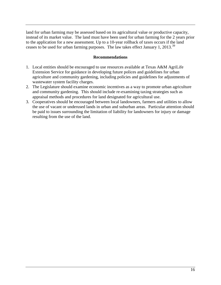land for urban farming may be assessed based on its agricultural value or productive capacity, instead of its market value. The land must have been used for urban farming for the 2 years prior to the application for a new assessment. Up to a 10-year rollback of taxes occurs if the land ceases to be used for urban farming purposes. The law takes effect January 1, 2013.<sup>[39](#page-55-30)</sup>

#### **Recommendations**

- 1. Local entities should be encouraged to use resources available at Texas A&M AgriLife Extension Service for guidance in developing future polices and guidelines for urban agriculture and community gardening, including policies and guidelines for adjustments of wastewater system facility charges.
- 2. The Legislature should examine economic incentives as a way to promote urban agriculture and community gardening. This should include re-examining taxing strategies such as appraisal methods and procedures for land designated for agricultural use.
- 3. Cooperatives should be encouraged between local landowners, farmers and utilities to allow the use of vacant or underused lands in urban and suburban areas. Particular attention should be paid to issues surrounding the limitation of liability for landowners for injury or damage resulting from the use of the land.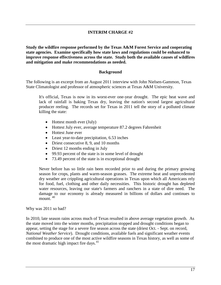## **INTERIM CHARGE #2**

<span id="page-17-0"></span>**Study the wildfire response performed by the Texas A&M Forest Service and cooperating state agencies. Examine specifically how state laws and regulations could be enhanced to improve response effectiveness across the state. Study both the available causes of wildfires and mitigation and make recommendations as needed.**

#### **Background**

The following is an excerpt from an August 2011 interview with John Nielsen-Gammon, Texas State Climatologist and professor of atmospheric sciences at Texas A&M University.

It's official, Texas is now in its worst-ever one-year drought. The epic heat wave and lack of rainfall is baking Texas dry, leaving the nation's second largest agricultural producer reeling. The records set for Texas in 2011 tell the story of a polluted climate killing the state:

- Hottest month ever (July)
- Hottest July ever, average temperature 87.2 degrees Fahrenheit
- Hottest June ever
- Least year-to-date precipitation, 6.53 inches
- Driest consecutive 8, 9, and 10 months
- Driest 12 months ending in July
- 99.93 percent of the state is in some level of drought
- 73.49 percent of the state is in exceptional drought

Never before has so little rain been recorded prior to and during the primary growing season for crops, plants and warm-season grasses. The extreme heat and unprecedented dry weather are crippling agricultural operations in Texas upon which all Americans rely for food, fuel, clothing and other daily necessities. This historic drought has depleted water resources, leaving our state's farmers and ranchers in a state of dire need. The damage to our economy is already measured in billions of dollars and continues to mount.<sup>[40](#page-55-31)</sup>

Why was 2011 so bad?

In 2010, late season rains across much of Texas resulted in above average vegetation growth. As the state moved into the winter months, precipitation stopped and drought conditions began to appear, setting the stage for a severe fire season across the state (driest Oct. - Sept. on record, *National Weather Service*). Drought conditions, available fuels and significant weather events combined to produce one of the most active wildfire seasons in Texas history, as well as some of the most dramatic high impact fire days.<sup>[41](#page-55-32)</sup>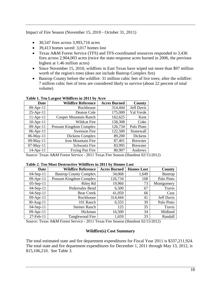Impact of Fire Season (November 15, 2010 - October 31, 2011)

- 30,547 fires across 3,993,716 acres
- 39,413 homes saved: 3,017 homes lost
- Texas A&M Forest Service (TFS) and TFS-coordinated resources responded to 3,436 fires across 2,904,003 acres (twice the state-response acres burned in 2006, the previous highest at 1.46 million acres)
- Since November 15, 2010, wildfires in East Texas have wiped out more than \$97 million worth of the region's trees (does not include Bastrop Complex fire)
- Bastrop County before the wildfire: 31 million cubic feet of live trees; after the wildfire: 7 million cubic feet of tress are considered likely to survive (about 22 percent of total volume)

| Date            | <b>Wildfire Reference</b> | <b>Acres Burned</b> | County            |
|-----------------|---------------------------|---------------------|-------------------|
| $09-Apr-11$     | Rockhouse                 | 314,444             | <b>Jeff Davis</b> |
| $25 - Apr - 11$ | Deaton Cole               | 175,000             | Val Verde         |
| $11-Apr-11$     | Cooper Mountain Ranch     | 162,625             | Kent              |
| $10$ -Apr- $11$ | <b>Wildcat Fire</b>       | 158,308             | Coke              |
| 09-Apr-11       | Possum Kingdom Complex    | 126,734             | Palo Pinto        |
| $06-Apr-11$     | <b>Swenson Fire</b>       | 122,500             | Stonewall         |
| 06-May-11       | Dickens Complex           | 89,200              | Dickens           |
| 09-May-11       | Iron Mountain Fire        | 87,401              | <b>Brewster</b>   |
| 07-May-11       | <b>Schwartz Fire</b>      | 83,995              | <b>Brewster</b>   |
| 14-Apr-11       | Frying Pan Fire           | 80,907              | Andrews           |

#### **Table 1. Ten Largest Wildfires in 2011 by Acre**

Source: Texas A&M Forest Service - 2011 Texas Fire Season (Handout 02/15/2012)

#### **Table 2. Ten Most Destructive Wildfires in 2011 by Homes Lost**

| <b>Date</b>  | <b>Wildfire Reference</b>     | <b>Acres Burned</b> | <b>Homes Lost</b> | County            |
|--------------|-------------------------------|---------------------|-------------------|-------------------|
| $04-Sep-11$  | <b>Bastrop County Complex</b> | 34,068              | 1,649             | <b>Bastrop</b>    |
| 09-Apr-11    | Possum Kingdom Complex        | 126,734             | 168               | Palo Pinto        |
| $05-Sep-11$  | Riley Rd                      | 19,960              | 73                | Montgomery        |
| $04-Sep-11$  | Pedernales Bend               | 6,500               | 67                | Travis            |
| $04-Sep-11$  | Bear Creek                    | 41,050              | 66                | Cass              |
| $09$ -Apr-11 | Rockhouse                     | 314,444             | 41                | <b>Jeff Davis</b> |
| $30$ -Aug-11 | 101 Ranch                     | 6,555               | 39                | Palo Pinto        |
| $04-Sep-11$  | <b>Steiner Ranch</b>          | 125                 | 35                | Travis            |
| $09-Apr-11$  | Hickman                       | 16,500              | 34                | Midland           |
| 27-Feb-11    | Tanglewood Fire               | 1,659               | 33                | Randall           |

Source: Texas A&M Forest Service - 2011 Texas Fire Season (Handout 02/15/2012)

#### **Wildfire(s) Cost Summary**

The total estimated state and fire department expenditures for Fiscal Year 2011 is \$337,211,924. The total state and fire department expenditures for December 1, 2011 through May 13, 2012, is \$15,106,210. See Table 3.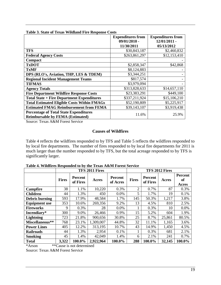|                                                    | <b>Expenditures from</b> | <b>Expenditures from</b> |
|----------------------------------------------------|--------------------------|--------------------------|
|                                                    | $09/01/2010$ -           | $12/01/2011$ -           |
|                                                    | 11/30/2011               | 05/13/2012               |
| <b>TFS</b>                                         | \$30,843,187             | \$2,460,832              |
| <b>Federal Agency Costs</b>                        | \$263,861,297            | \$12,153,410             |
| <b>Compact</b>                                     |                          |                          |
| <b>TxDOT</b>                                       | \$2,858,347              | \$42,868                 |
| <b>TxMF</b>                                        | \$8,124,883              |                          |
| DPS (RLO's, Aviation, THP, LES & TDEM)             | \$3,344,251              |                          |
| <b>Regional Incident Management Teams</b>          | \$817,574                |                          |
| <b>TIFMAS</b>                                      | \$3,979,094              |                          |
| <b>Agency Totals</b>                               | \$313,828,633            | \$14,657,110             |
| <b>Fire Department Wildfire Response Costs</b>     | \$23,383,291             | \$449,100                |
| <b>Total State + Fire Department Expenditures</b>  | \$337,211,924            | \$15,106,210             |
| <b>Total Estimated Eligible Costs Within FMAGs</b> | \$52,190,809             | \$5,225,917              |
| <b>Estimated FMAG Reimbursement from FEMA</b>      | \$39,143,107             | \$3,919,438              |
| <b>Percentage of Total State Expenditures</b>      | 11.6%                    | 25.9%                    |
| <b>Reimbursable by FEMA (Estimated)</b>            |                          |                          |

#### **Table 3. State of Texas Wildland Fire Response Costs**

Source: Texas A&M Forest Service

#### **Causes of Wildfires**

Table 4 reflects the wildfires responded to by TFS and Table 5 reflects the wildfires responded to by local fire departments. The number of fires responded to by local fire departments for 2011 is much larger than the number responded to by TFS, but the total acreage responded to by TFS is significantly larger.

|                      | TFS 2011 Fires |                     |           |                            | TFS 2012 Fires |                            |        |                               |
|----------------------|----------------|---------------------|-----------|----------------------------|----------------|----------------------------|--------|-------------------------------|
|                      | <b>Fires</b>   | Percent<br>of Fires | Acres     | <b>Percent</b><br>of Acres | <b>Fires</b>   | <b>Percent</b><br>of Fires | Acres  | <b>Percent</b><br>of<br>Acres |
| <b>Campfire</b>      | 38             | 1.1%                | 10,220    | 0.3%                       | $\overline{2}$ | 0.7%                       | 87     | 0.3%                          |
| <b>Children</b>      | 44             | 1.3%                | 450       | 0.0%                       | 5              | 1.7%                       | 19     | 0.1%                          |
| Debris burning       | 593            | 17.9%               | 48,584    | 1.7%                       | 145            | 50.3%                      | 1,217  | 3.8%                          |
| <b>Equipment</b> use | 353            | 10.6%               | 269,356   | 9.2%                       | 13             | 4.5%                       | 810    | 2.5%                          |
| <b>Fireworks</b>     | 9              | 0.3%                | 28        | 0.0%                       |                | 0.3%                       | 10     | 0.0%                          |
| Incendiary*          | 300            | 9.0%                | 26,466    | 0.9%                       | 15             | 5.2%                       | 604    | 1.9%                          |
| <b>Lightning</b>     | 723            | 21.8%               | 900,656   | 30.8%                      | 25             | 8.7%                       | 25,861 | 80.5%                         |
| Miscellaneous**      | 768            | 23.1%               | 1,309,007 | 44.8%                      | 32             | 11.1%                      | 1,165  | 3.6%                          |
| <b>Power Lines</b>   | 405            | 12.2%               | 313,195   | 10.7%                      | 43             | 14.9%                      | 1,450  | 4.5%                          |
| <b>Railroads</b>     | 44             | 1.3%                | 2,954     | 0.1%                       |                | 0.3%                       | 681    | 2.1%                          |
| <b>Smoking</b>       | 45             | 1.4%                | 42,049    | 1.4%                       | 6              | 2.1%                       | 241    | 0.7%                          |
| <b>Total</b>         | 3,322          | 100.0%              | 2,922,964 | 100.0%                     | 288            | 100.0%                     | 32,145 | 100.0%                        |

**Table 4. Wildfires Responded to by the Texas A&M Forest Service**

\*Arson \*\*Cause is not determined

Source: Texas A&M Forest Service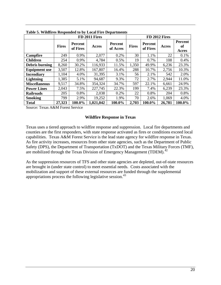|                       |              | FD 2011 Fires              |           |                            |              | FD 2012 Fires       |        |                               |  |
|-----------------------|--------------|----------------------------|-----------|----------------------------|--------------|---------------------|--------|-------------------------------|--|
|                       | <b>Fires</b> | <b>Percent</b><br>of Fires | Acres     | <b>Percent</b><br>of Acres | <b>Fires</b> | Percent<br>of Fires | Acres  | <b>Percent</b><br>of<br>Acres |  |
| <b>Campfire</b>       | 249          | 0.9%                       | 2,077     | 0.2%                       | 30           | 1.1%                | 22     | 0.1%                          |  |
| <b>Children</b>       | 254          | 0.9%                       | 4,784     | 0.5%                       | 19           | 0.7%                | 108    | 0.4%                          |  |
| <b>Debris burning</b> | 8,260        | 30.2%                      | 116,933   | 11.5%                      | 1,350        | 49.9%               | 6,236  | 23.3%                         |  |
| <b>Equipment use</b>  | 3,507        | 12.8%                      | 167,807   | 16.4%                      | 288          | 10.7%               | 2,756  | 10.3%                         |  |
| <b>Incendiary</b>     | 1,104        | 4.0%                       | 31,395    | 3.1%                       | 56           | 2.1%                | 542    | 2.0%                          |  |
| <b>Lightning</b>      | 1,385        | 5.1%                       | 94,687    | 9.3%                       | 72           | 2.7%                | 2,944  | 11.0%                         |  |
| <b>Miscellaneous</b>  | 9,517        | 34.8%                      | 354,324   | 34.7%                      | 597          | 22.1%               | 6,661  | 24.9%                         |  |
| <b>Power Lines</b>    | 2,043        | 7.5%                       | 227,745   | 22.3%                      | 199          | 7.4%                | 6,239  | 23.3%                         |  |
| <b>Railroads</b>      | 205          | 0.8%                       | 2,038     | 0.2%                       | 22           | 0.8%                | 204    | 0.8%                          |  |
| <b>Smoking</b>        | 799          | 2.9%                       | 19,252    | 1.9%                       | 70           | 2.6%                | 1,069  | 4.0%                          |  |
| <b>Total</b>          | 27,323       | 100.0%                     | 1,021,042 | 100.0%                     | 2,703        | 100.0%              | 26,781 | 100.0%                        |  |

**Table 5. Wildfires Responded to by Local Fire Departments**

Source: Texas A&M Forest Service

#### **Wildfire Response in Texas**

Texas uses a tiered approach to wildfire response and suppression. Local fire departments and counties are the first responders, with state response activated as fires or conditions exceed local capabilities. Texas A&M Forest Service is the lead state agency for wildfire response in Texas. As fire activity increases, resources from other state agencies, such as the Department of Public Safety (DPS), the Department of Transportation (TxDOT) and the Texas Military Forces (TMF), are mobilized through the Texas Division of Emergency Management (TDEM).<sup>[42](#page-55-33)</sup>

As the suppression resources of TFS and other state agencies are depleted, out-of-state resources are brought in (under state control) to meet essential needs. Costs associated with the mobilization and support of these external resources are funded through the supplemental appropriations process the following legislative session. $43$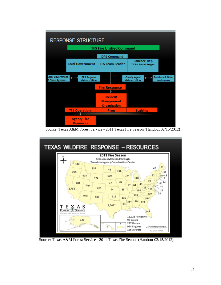

Source: Texas A&M Forest Service - 2011 Texas Fire Season (Handout 02/15/2012)



Source: Texas A&M Forest Service - 2011 Texas Fire Season (Handout 02/15/2012)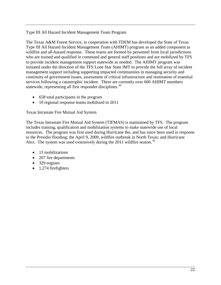## Type III All Hazard Incident Management Team Program

The Texas A&M Forest Service, in cooperation with TDEM has developed the State of Texas Type III All Hazard Incident Management Team (AHIMT) program as an added component to wildfire and all-hazard response. These teams are formed by personnel from local jurisdictions who are trained and qualified in command and general staff positions and are mobilized by TFS to provide incident management support statewide as needed. The AHIMT program was initiated under the direction of the TFS Lone Star State IMT to provide the full array of incident management support including supporting impacted communities in managing security and continuity of government issues, assessment of critical infrastructure and restoration of essential services following a catastrophic incident. There are currently over 600 AHIMT members statewide, representing all first responder disciplines.<sup>[44](#page-55-35)</sup>

- 658 total participants in the program
- 10 regional response teams mobilized in 2011

#### Texas Intrastate Fire Mutual Aid System

The Texas Intrastate Fire Mutual Aid System (TIFMAS) is maintained by TFS. The program includes training, qualification and mobilization systems to make statewide use of local resources. The program was first used during Hurricane Ike, and has since been used in response to the Presidio flooding; the April 9, 2009, wildfire outbreak in North Texas; and Hurricane Alex. The system was used extensively during the 2011 wildfire season.<sup>[45](#page-55-36)</sup>

- 13 mobilizations
- 207 fire departments
- 329 engines
- 1,274 firefighters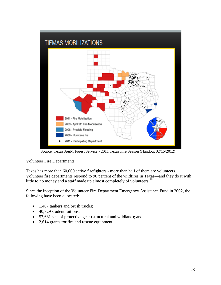

Source: Texas A&M Forest Service - 2011 Texas Fire Season (Handout 02/15/2012)

# Volunteer Fire Departments

Texas has more than 60,000 active firefighters - more than half of them are volunteers. Volunteer fire departments respond to 90 percent of the wildfires in Texas—and they do it with little to no money and a staff made up almost completely of volunteers.<sup>[46](#page-55-37)</sup>

Since the inception of the Volunteer Fire Department Emergency Assistance Fund in 2002, the following have been allocated:

- 1,407 tankers and brush trucks;
- 40,729 student tuitions;
- 57,681 sets of protective gear (structural and wildland); and
- 2,614 grants for fire and rescue equipment.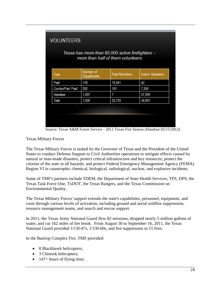| Texas has more than 60,000 active firefighters -<br>more than half of them volunteers<br>Number of<br>Paid Members<br><b>Active Volunteers</b><br><b>Type</b><br>Departments<br>Paid<br>19,541<br>139<br>42<br>292<br>181<br>7,260<br>Combo/Part Paid<br>7<br>1,497<br>27,499<br>Volunteer<br>34,801<br>1,928<br>25,729<br>Total | <b>VOLUNTEERS</b> |  |  |  |  |
|----------------------------------------------------------------------------------------------------------------------------------------------------------------------------------------------------------------------------------------------------------------------------------------------------------------------------------|-------------------|--|--|--|--|
|                                                                                                                                                                                                                                                                                                                                  |                   |  |  |  |  |
|                                                                                                                                                                                                                                                                                                                                  |                   |  |  |  |  |
|                                                                                                                                                                                                                                                                                                                                  |                   |  |  |  |  |
|                                                                                                                                                                                                                                                                                                                                  |                   |  |  |  |  |
|                                                                                                                                                                                                                                                                                                                                  |                   |  |  |  |  |
|                                                                                                                                                                                                                                                                                                                                  |                   |  |  |  |  |
|                                                                                                                                                                                                                                                                                                                                  |                   |  |  |  |  |
|                                                                                                                                                                                                                                                                                                                                  |                   |  |  |  |  |
|                                                                                                                                                                                                                                                                                                                                  |                   |  |  |  |  |

Source: Texas A&M Forest Service - 2011 Texas Fire Season (Handout 02/15/2012)

Texas Military Forces

The Texas Military Forces is tasked by the Governor of Texas and the President of the United States to conduct Defense Support to Civil Authorities operations to mitigate effects caused by natural or man-made disasters, protect critical infrastructure and key resources; protect the citizens of the state in all hazards; and protect Federal Emergency Management Agency (FEMA) Region VI in catastrophic chemical, biological, radiological, nuclear, and explosive incidents.

Some of TMF's partners include TDEM, the Department of State Health Services, TFS, DPS, the Texas Task Force One, TxDOT, the Texas Rangers, and the Texas Commission on Environmental Quality.

The Texas Military Forces' support extends the state's capabilities, personnel, equipment, and costs through various levels of activation, including ground and aerial wildfire suppression, resource management teams, and search and rescue support.

In 2011, the Texas Army National Guard flew 82 missions, dropped nearly 5 million gallons of water, and cut 162 miles of fire break. From August 30 to September 16, 2011, the Texas National Guard provided 3 CH-47s, 3 UH-60s, and fire suppression in 15 fires.

In the Bastrop Complex Fire, TMF provided:

- 8 Blackhawk helicopters;
- 3 Chinook helicopters;
- $\bullet$  147+ hours of flying time;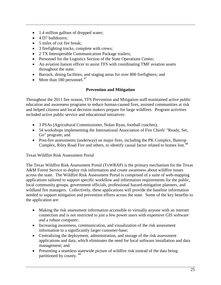- 1.4 million gallons of dropped water;
- 4 D7 bulldozers:
- 5 miles of cut fire break;
- 3 firefighting trucks, complete with crews;
- 2 TX Interoperable Communication Package trailers;
- Personnel for the Logistics Section of the State Operations Center;
- An aviation liaison officer to assist TFS with coordinating TMF aviation assets throughout the state;
- Barrack, dining facilities, and staging areas for over 800 firefighters; and
- More than 180 personnel. $^{47}$  $^{47}$  $^{47}$

# **Prevention and Mitigation**

Throughout the 2011 fire season, TFS Prevention and Mitigation staff maintained active public education and awareness programs to reduce human-caused fires, assisted communities at risk and helped citizens and local decision makers prepare for large wildfires. Program activities included active public service and educational initiatives:

- 3 PSAs (Agricultural Commissioner, Nolan Ryan, football coaches);
- 54 workshops implementing the International Association of Fire Chiefs' "Ready, Set, Go" program; and
- Post-fire assessments (underway) on major fires, including the PK Complex, Bastrop Complex, Riley Road Fire and others, to identify causal factor related to homes lost.<sup>[48](#page-55-39)</sup>

# Texas Wildfire Risk Assessment Portal

The Texas Wildfire Risk Assessment Portal (TxWRAP) is the primary mechanism for the Texas A&M Forest Service to deploy risk information and create awareness about wildfire issues across the state. The Wildfire Risk Assessment Portal is comprised of a suite of web-mapping applications tailored to support specific workflow and information requirements for the public, local community groups, government officials, professional hazard-mitigation planners, and wildland fire managers. Collectively, these applications will provide the baseline information needed to support mitigation and prevention efforts across the state. Some of the key benefits to the application are:

- Making the risk assessment information accessible to virtually anyone with an internet connection and is not restricted to just a few power users with expensive GIS software and a robust computer;
- Increasing awareness, communication, and visualization of the risk assessment information to a significantly larger customer-base;
- Centralizing the deployment, administration, and storage of the risk assessment applications and data, which eliminates the need for local software installation and data management; and
- Presenting a seamless statewide picture of wildfire risk instead of the data being partitioned by county. [49](#page-55-40)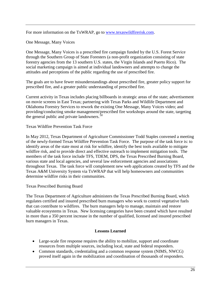For more information on the TxWRAP, go to [www.texaswildfirerisk.com.](http://www.texaswildfirerisk.com/)

One Message, Many Voices

One Message, Many Voices is a prescribed fire campaign funded by the U.S. Forest Service through the Southern Group of State Foresters (a non-profit organization consisting of state forestry agencies from the 13 southern U.S. states, the Virgin Islands and Puerto Rico). The social marketing campaign is aimed at individual landowners and attempts to change the attitudes and perceptions of the public regarding the use of prescribed fire.

The goals are to have fewer misunderstandings about prescribed fire, greater policy support for prescribed fire, and a greater public understanding of prescribed fire.

Current activity in Texas includes placing billboards in strategic areas of the state; advertisement on movie screens in East Texas; partnering with Texas Parks and Wildlife Department and Oklahoma Forestry Services to rework the existing One Message, Many Voices video; and providing/conducting smoke management/prescribed fire workshops around the state, targeting the general public and private landowners.<sup>[50](#page-55-41)</sup>

Texas Wildfire Prevention Task Force

In May 2012, Texas Department of Agriculture Commissioner Todd Staples convened a meeting of the newly-formed Texas Wildfire Prevention Task Force. The purpose of the task force is: to identify areas of the state most at risk for wildfire, identify the best tools available to mitigate wildfire risk, and to provide direct and effective outreach to implement mitigation tools. The members of the task force include TFS, TDEM, DPS, the Texas Prescribed Burning Board, various state and local agencies, and several law enforcement agencies and associations throughout Texas. The task force will complement new web applications created by TFS and the Texas A&M University System via TxWRAP that will help homeowners and communities determine wildfire risks in their communities.

Texas Prescribed Burning Board

The Texas Department of Agriculture administers the Texas Prescribed Burning Board, which regulates certified and insured prescribed burn managers who work to control vegetative fuels that can contribute to wildfires. The burn managers help to manage, maintain and restore valuable ecosystems in Texas. New licensing categories have been created which have resulted in more than a 350 percent increase in the number of qualified, licensed and insured prescribed burn managers in Texas.

#### **Lessons Learned**

- Large-scale fire response requires the ability to mobilize, support and coordinate resources from multiple sources, including local, state and federal responders.
- Common standards, credentialing and a common response system (NIMS, NWCG) proved itself again in the mobilization and coordination of thousands of responders.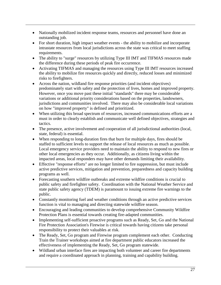- Nationally mobilized incident response teams, resources and personnel have done an outstanding job.
- For short duration, high impact weather events the ability to mobilize and incorporate intrastate resources from local jurisdictions across the state was critical to meet staffing requirements.
- The ability to "surge" resources by utilizing Type III IMT and TIFMAS resources made the difference during these periods of peak fire occurrence.
- Activating TIFMAS and managing the resources using Type III IMT resources increased the ability to mobilize fire resources quickly and directly, reduced losses and minimized risks to firefighters.
- Across the nation, wildland fire response priorities (and incident objectives) predominately start with safety and the protection of lives, homes and improved property. However, once you move past these initial "standards" there may be considerable variations or additional priority considerations based on the properties, landowners, jurisdictions and communities involved. There may also be considerable local variations on how "improved property" is defined and prioritized.
- When utilizing this broad spectrum of resources, increased communications efforts are a must in order to clearly establish and communicate well defined objectives, strategies and tactics.
- The presence, active involvement and cooperation of all jurisdictional authorities (local, state, federal) is essential.
- When responding to long-duration fires that burn for multiple days, fires should be staffed to sufficient levels to support the release of local resources as much as possible. Local emergency service providers need to maintain the ability to respond to new fires or other local emergencies as they occur. Additionally, as citizens living within the impacted areas, local responders may have other demands limiting their availability.
- Effective "response efforts" are no longer limited to fire suppression, but must include active predictive services, mitigation and prevention, preparedness and capacity building programs as well.
- Forecasting southern wildfire outbreaks and extreme wildfire conditions is crucial to public safety and firefighter safety. Coordination with the National Weather Service and state public safety agency (TDEM) is paramount to issuing extreme fire warnings to the public.
- Constantly monitoring fuel and weather conditions through an active predictive services function is vital to managing and directing statewide wildfire season.
- Encouraging and leading communities to develop comprehensive Community Wildfire Protection Plans is essential towards creating fire-adapted communities.
- Implementing self-sufficient proactive programs such as Ready, Set, Go and the National Fire Protection Association's Firewise is critical towards having citizens take personal responsibility to protect their valuables at risk.
- The Ready, Set, Go program and Firewise program complement each other. Conducting Train the Trainer workshops aimed at fire department public educators increased the effectiveness of implementing the Ready, Set, Go program statewide.
- Wildland urban interface fires are impacting both volunteer and career fire departments and require a coordinated approach in planning, training and capability building.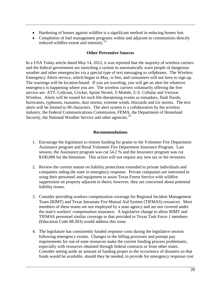- Hardening of homes against wildfire is a significant method in reducing homes lost.
- Completion of fuel management programs within and adjacent to communities directly reduced wildfire extent and intensity.<sup>[51](#page-55-42)</sup>

#### **Other Preventive Sources**

In a USA Today article dated May 14, 2012, it was reported that the majority of wireless carriers and the federal government are launching a system to automatically warn people of dangerous weather and other emergencies via a special type of text messaging to cellphones. The Wireless Emergency Alerts service, which began in May, is free, and consumers will not have to sign up. The warnings will be location-based: If you are traveling, you will get an alert for whatever emergency is happening where you are. The wireless carriers voluntarily offering the free service are: ATT, Cellcom, Cricket, Sprint Nextel, T-Mobile, U.S. Cellular and Verizon Wireless. Alerts will be issued for such life-threatening events as tornadoes, flash floods, hurricanes, typhoons, tsunamis, dust storms, extreme winds, blizzards and ice storms. The text alerts will be limited to 90 characters. The alert system is a collaboration by the wireless industry, the Federal Communications Commission, FEMA, the Department of Homeland Security, the National Weather Service and other agencies.<sup>[52](#page-55-43)</sup>

#### **Recommendations**

- 1. Encourage the legislature to restore funding for grants to the Volunteer Fire Department Assistance program and Rural Volunteer Fire Department Insurance Program. Last session, the Assistance program was cut 54.2 % and the Insurance program was cut \$100,000 for the biennium. This action will not require any new tax or fee revenues.
- 2. Review the current statute on liability protections extended to private individuals and companies aiding the state in emergency response. Private companies are interested in using their personnel and equipment to assist Texas Forest Service with wildfire suppression on property adjacent to theirs; however, they are concerned about potential liability issues.
- 3. Consider providing workers compensation coverage for Regional Incident Management Team (RIMT) and Texas Intrastate Fire Mutual Aid System (TIFMAS) resources. Most members of these teams are not employed by a state agency and are not covered under the state's workers' compensation insurance. A legislative change to allow RIMT and TIFMAS personnel similar coverage to that provided to Texas Task Force 1 members (Education Code 88.303) would address this issue.
- 4. The legislature has consistently funded response costs during the legislative session following emergency events. Changes in the billing processes and prompt pay requirements for out-of-state resources make the current funding process problematic, especially with resources obtained through federal contracts or from other states. Consider setting aside an amount of funding proper to the occurrence of disasters so that funds would be available, should they be needed, to provide for emergency response cost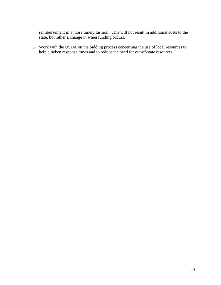reimbursement in a more timely fashion. This will not result in additional costs to the state, but rather a change in when funding occurs.

5. Work with the USDA on the bidding process concerning the use of local resources to help quicken response times and to reduce the need for out-of-state resources.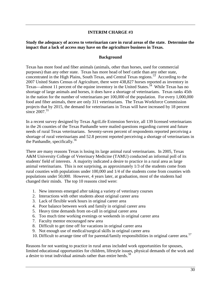#### **INTERIM CHARGE #3**

#### <span id="page-30-0"></span>**Study the adequacy of access to veterinarian care in rural areas of the state. Determine the impact that a lack of access may have on the agriculture business in Texas.**

#### **Background**

Texas has more food and fiber animals (animals, other than horses, used for commercial purposes) than any other state. Texas has more head of beef cattle than any other state, concentrated in the High Plains, South Texas, and Central Texas regions.<sup>53</sup> According to the 2007 United States Census of Agriculture, there were 438,827 horses reported as inventory in Texas—almost 11 percent of the equine inventory in the United States.<sup>54</sup> While Texas has no shortage of large animals and horses, it does have a shortage of veterinarians. Texas ranks 45th in the nation for the number of veterinarians per 100,000 of the population. For every 1,000,000 food and fiber animals, there are only 311 veterinarians. The Texas Workforce Commission projects that by 2015, the demand for veterinarians in Texas will have increased by 18 percent since  $2007^{55}$  $2007^{55}$  $2007^{55}$ 

In a recent survey designed by Texas AgriLife Extension Service, all 139 licensed veterinarians in the 26 counties of the Texas Panhandle were mailed questions regarding current and future needs of rural Texas veterinarians. Seventy-seven percent of respondents reported perceiving a shortage of rural veterinarians and 52.8 percent reported perceiving a shortage of veterinarians in the Panhandle, specifically.<sup>[56](#page-55-47)</sup>

There are many reasons Texas is losing its large animal rural veterinarians. In 2005, Texas A&M University College of Veterinary Medicine (TAMU) conducted an informal poll of its students' field of interests. A majority indicated a desire to practice in a rural area as large animal veterinarians. This is not surprising, as approximately 1/3 of the students come from rural counties with populations under 100,000 and 1/4 of the students come from counties with populations under 50,000. However, 4 years later, at graduation, most of the students had changed their minds. The top 10 reasons cited were:

- 1. New interests emerged after taking a variety of veterinary courses
- 2. Interactions with other students about original career area
- 3. Lack of flexible work hours in original career area
- 4. Poor balance between work and family in original career area
- 5. Heavy time demands from on-call in original career area
- 6. Too much time working evenings or weekends in original career area
- 7. Faculty mentor encouraged new area
- 8. Difficult to get time off for vacations in original career area
- 9. Not enough use of medical/surgical skills in original career area
- 10. Difficult to arrange time off for parental/family responsibilities in original career area. [57](#page-55-48)

Reasons for not wanting to practice in rural areas included work opportunities for spouses, limited educational opportunities for children, lifestyle issues, physical demands of the work and a desire to treat individual animals rather than entire herds.<sup>[58](#page-55-49)</sup>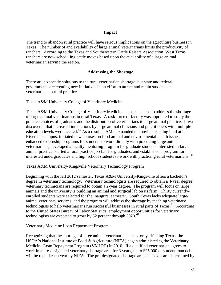#### **Impact**

The trend to abandon rural practice will have serious implications on the agriculture business in Texas. The number of and availability of large animal veterinarians limits the productivity of ranchers. According to the Texas and Southwestern Cattle Raisers Association, West Texas ranchers are now scheduling cattle moves based upon the availability of a large animal veterinarian serving the region.

#### **Addressing the Shortage**

There are no speedy solutions to the rural veterinarian shortage, but state and federal governments are creating new initiatives in an effort to attract and retain students and veterinarians to rural practice.

Texas A&M University College of Veterinary Medicine

Texas A&M University College of Veterinary Medicine has taken steps to address the shortage of large animal veterinarians in rural Texas. A task force of faculty was appointed to study the practice choices of graduates and the distribution of veterinarians to large animal practice. It was discovered that increased interactions by large animal clinicians and practitioners with multiple education levels were needed.<sup>[59](#page-55-50)</sup> As a result, TAMU expanded the bovine teaching herd at its Riverside campus, initiated new courses on food animal and environmental health issues, enhanced externship programs for students to work directly with practicing large animal veterinarians, developed a faculty mentoring program for graduate students interested in large animal practice, started a rural practice job fair for graduates, and established a program for interested undergraduates and high school students to work with practicing rural veterinarians.<sup>[60](#page-55-51)</sup>

Texas A&M University-Kingsville Veterinary Technology Program

Beginning with the fall 2012 semester, Texas A&M University-Kingsville offers a bachelor's degree in veterinary technology. Veterinary technologists are required to obtain a 4-year degree; veterinary technicians are required to obtain a 2-year degree. The program will focus on large animals and the university is building an animal and surgical lab on its farm. Thirty currentlyenrolled students were selected for the inaugural semester. South Texas lacks adequate largeanimal veterinary services, and the program will address the shortage by teaching veterinary technologists to help veterinarians run successful businesses in rural parts of Texas.<sup>61</sup> According to the United States Bureau of Labor Statistics, employment opportunities for veterinary technologists are expected to grow by 52 percent through  $2020$ .<sup>[62](#page-55-53)</sup>

Veterinary Medicine Loan Repayment Program

Recognizing that the shortage of large animal veterinarians is not only affecting Texas, the USDA's National Institute of Food & Agriculture (NIFA) began administering the Veterinary Medicine Loan Repayment Program (VMLRP) in 2010. If a qualified veterinarian agrees to work in a pre-designated veterinary shortage area for 3 years, up to \$25,000 of student loan debt will be repaid each year by NIFA. The pre-designated shortage areas in Texas are determined by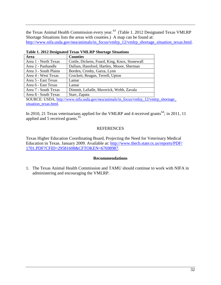the Texas Animal Health Commission every year.<sup>[63](#page-55-54)</sup> (Table 1. 2012 Designated Texas VMLRP Shortage Situations lists the areas with counties.) A map can be found at: [http://www.nifa.usda.gov/nea/animals/in\\_focus/vmlrp\\_12/vmlrp\\_shortage\\_situation\\_texas.html.](http://www.nifa.usda.gov/nea/animals/in_focus/vmlrp_12/vmlrp_shortage_situation_texas.html)

| Area                  | <b>Counties</b>                               |
|-----------------------|-----------------------------------------------|
| Area 1 - North Texas  | Cottle, Dickens, Foard, King, Knox, Stonewall |
| Area 2 - Panhandle    | Dallam, Hansford, Hartley, Moore, Sherman     |
| Area 3 - South Plains | Borden, Crosby, Garza, Lynn                   |
| Area 4 - West Texas   | Crockett, Reagan, Terrell, Upton              |
| Area 5 - East Texas   | Lamar                                         |
| Area 6 - East Texas   | Lamar                                         |
| Area 7 - South Texas  | Dimmit, LaSalle, Maverick, Webb, Zavala       |
| Area 8 - South Texas  | Starr, Zapata                                 |
| $\alpha$              | $\sqrt{1 + 1}$ $\sqrt{1 + 1}$                 |

**Table 1. 2012 Designated Texas VMLRP Shortage Situations**

SOURCE: USDA, [http://www.nifa.usda.gov/nea/animals/in\\_focus/vmlrp\\_12/vmlrp\\_shortage\\_](http://www.nifa.usda.gov/nea/animals/in_focus/vmlrp_12/vmlrp_shortage_) [situation\\_texas.html.](http://www.nifa.usda.gov/nea/animals/in_focus/vmlrp_12/vmlrp_shortage_)

In 2010, 21 Texas veterinarians applied for the VMLRP and 4 received grants<sup>64</sup>; in 2011, 11 applied and 5 received grants.<sup>[65](#page-55-56)</sup>

#### REFERENCES

Texas Higher Education Coordinating Board, Projecting the Need for Veterinary Medical Education in Texas. January 2009. Available at: [http://www.thecb.state.tx.us/reports/PDF/](http://www.thecb.state.tx.us/reports/PDF/1701.PDF?CFID=29581608&CFTOKEN=67698987) [1701.PDF?CFID=29581608&CFTOKEN=67698987.](http://www.thecb.state.tx.us/reports/PDF/1701.PDF?CFID=29581608&CFTOKEN=67698987)

#### **Recommendations**

1. The Texas Animal Health Commission and TAMU should continue to work with NIFA in administering and encouraging the VMLRP.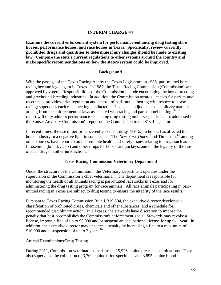## **INTERIM CHARGE #4**

<span id="page-33-0"></span>**Examine the current enforcement system for performance-enhancing drug testing show horses, performance horses, and race horses in Texas. Specifically, review currently prohibited drugs and quantities to determine if any changes should be made to existing law. Compare the state's current regulations to other systems around the country and make specific recommendations on how the state's system could be improved.**

#### **Background**

With the passage of the Texas Racing Act by the Texas Legislature in 1986, pari-mutuel horse racing became legal again in Texas. In 1987, the Texas Racing Commission (Commission) was approved by voters. Responsibilities of the Commission include encouraging the horse-breeding and greyhound-breeding industries. In addition, the Commission awards licenses for pari-mutuel racetracks; provides strict regulation and control of pari-mutuel betting with respect to horse racing; supervises each race meeting conducted in Texas; and adjudicates disciplinary matters arising from the enforcement of laws associated with racing and pari-mutuel betting.<sup>66</sup> This report will only address performance-enhancing drug testing on horses, an issue not addressed in the Sunset Advisory Commission's report on the Commission to the 81st Legislature.

In recent times, the use of performance-enhancement drugs (PEDs) in horses has affected the horse industry in a negative light in some states. The *New York Times*<sup>67</sup> and Time.com, <sup>[68](#page-55-25)</sup> among other sources, have reported on the possible health and safety issues relating to drugs such as furosemide (brand: *Lasix*) and other drugs for horses and jockeys, and on the legality of the use of such drugs in other jurisdictions. $69$ 

#### **Texas Racing Commission Veterinary Department**

Under the structure of the Commission, the Veterinary Department operates under the supervision of the Commission's chief veterinarian. The department is responsible for monitoring the health of all animals racing at pari-mutuel racetracks in Texas and for administering the drug testing program for race animals. All race animals participating in parimutuel racing in Texas are subject to drug testing to ensure the integrity of the race results.

Pursuant to Texas Racing Commission Rule § 319.304, the executive director developed a classification of prohibited drugs, chemicals and other substances; and a schedule for recommended disciplinary action. In all cases, the stewards have discretion to impose the penalty that best accomplishes the Commission's enforcement goals. Stewards may revoke a license, impose a fine of up to \$5,000 and/or suspend an occupational license for up to 1 year. In addition, the executive director may enhance a penalty by increasing a fine to a maximum of \$10,000 and a suspension of up to 2 years.<sup>[70](#page-55-29)</sup>

#### Animal Examinations/Drug Testing

During 2011, Commission veterinarians performed 15,926 equine pre-race examinations. They also supervised the collection of 3,700 equine urine specimens and 3,895 equine blood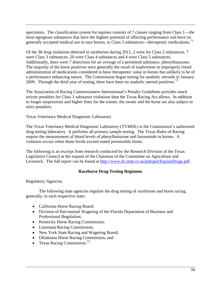specimens. The classification system for equines consists of 7 classes ranging from Class 1—the most egregious substances that have the highest potential of affecting performance and have no generally accepted medical use in race horses, to Class 5 substances—therapeutic medications.<sup>[71](#page-55-30)</sup>

Of the 38 drug violations detected in racehorses during 2011, 2 were for Class 2 substances, 7 were Class 3 substances, 20 were Class 4 substances and 4 were Class 5 substances. Additionally, there were 7 detections for an overage of a permitted substance, phenylbutazone. The majority of the horse positives were generally the result of inadvertent or improperly timed administration of medications considered to have therapeutic value in horses but unlikely to be of a performance enhancing nature. The Commission began testing for anabolic steroids in January 2009. Through the third year of testing, there have been no anabolic steroid positives.<sup>[72](#page-55-59)</sup>

The Association of Racing Commissioners International's Penalty Guidelines provides much stricter penalties for Class 1 substance violations than the Texas Racing Act allows. In addition to longer suspensions and higher fines for the trainer, the owner and the horse are also subject to strict penalties.

Texas Veterinary Medical Diagnostic Laboratory

The Texas Veterinary Medical Diagnostic Laboratory (TVMDL) is the Commission's authorized drug testing laboratory. It performs all primary sample testing. The Texas Rules of Racing require the measurement of blood levels of phenylbutazone and furosemide in horses. A violation occurs when those levels exceed stated permissible limits.

The following is an excerpt from research conducted by the Research Division of the Texas Legislative Council at the request of the Chairman of the Committee on Agriculture and Livestock. The full report can be found at [http://www.tlc.state.tx.us/pubspol/EquineDrugs.pdf.](http://www.tlc.state.tx.us/pubspol/EquineDrugs.pdf)

#### **Racehorse Drug Testing Regimens**

#### Regulatory Agencies

The following state agencies regulate the drug testing of racehorses and horse racing, generally, in each respective state:

- California Horse Racing Board;
- Division of Pari-mutuel Wagering of the Florida Department of Business and Professional Regulation;
- Kentucky Horse Racing Commission;
- Louisiana Racing Commission;
- New York State Racing and Wagering Board;
- Oklahoma Horse Racing Commission; and
- Texas Racing Commission.<sup>[73](#page-55-60)</sup>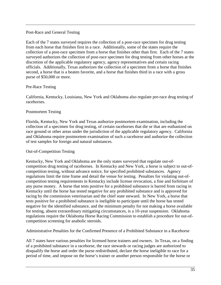#### Post-Race and General Testing

Each of the 7 states surveyed requires the collection of a post-race specimen for drug testing from each horse that finishes first in a race. Additionally, some of the states require the collection of a post-race specimen from a horse that finishes other than first. Each of the 7 states surveyed authorizes the collection of post-race specimen for drug testing from other horses at the discretion of the applicable regulatory agency, agency representatives and certain racing officials. Additionally, Texas authorizes the collection of a specimen from a horse that finishes second, a horse that is a beaten favorite, and a horse that finishes third in a race with a gross purse of \$50,000 or more.

#### Pre-Race Testing

California, Kentucky, Louisiana, New York and Oklahoma also regulate pre-race drug testing of racehorses.

#### Postmortem Testing

Florida, Kentucky, New York and Texas authorize postmortem examination, including the collection of a specimen for drug testing, of certain racehorses that die or that are euthanized on race ground or other areas under the jurisdiction of the applicable regulatory agency. California and Oklahoma require postmortem examination of such a racehorse and authorize the collection of test samples for foreign and natural substances.

#### Out-of-Competition Testing

Kentucky, New York and Oklahoma are the only states surveyed that regulate out-ofcompetition drug testing of racehorses. In Kentucky and New York, a horse is subject to out-ofcompetition testing, without advance notice, for specified prohibited substances. Agency regulations limit the time frame and detail the venue for testing. Penalties for violating out-ofcompetition testing requirements in Kentucky include license revocation, a fine and forfeiture of any purse money. A horse that tests positive for a prohibited substance is barred from racing in Kentucky until the horse has tested negative for any prohibited substance and is approved for racing by the commission veterinarian and the chief state steward. In New York, a horse that tests positive for a prohibited substance is ineligible to participate until the horse has tested negative for the identified substance, and the minimum penalty for not making a horse available for testing, absent extraordinary mitigating circumstances, is a 10-year suspension. Oklahoma regulations require the Oklahoma Horse Racing Commission to establish a procedure for out-ofcompetition screening for anabolic steroids.

Administrative Penalties for the Confirmed Presence of a Prohibited Substance in a Racehorse

All 7 states have various penalties for licensed horse trainers and owners. In Texas, on a finding of a prohibited substance in a racehorse, the race stewards or racing judges are authorized to disqualify the horse and order the purse redistributed, declare the horse ineligible to race for a period of time, and impose on the horse's trainer or another person responsible for the horse or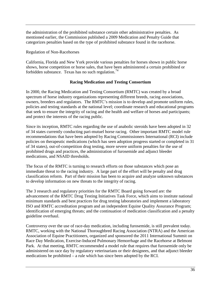the administration of the prohibited substance certain other administrative penalties. As mentioned earlier, the Commission published a 2009 Medication and Penalty Guide that categorizes penalties based on the type of prohibited substance found in the racehorse.

Regulation of Non-Racehorses

California, Florida and New York provide various penalties for horses shown in public horse shows, horse competition or horse sales, that have been administered a certain prohibited or forbidden substance. Texas has no such regulation.<sup>[74](#page-55-61)</sup>

#### **Racing Medication and Testing Consortium**

In 2000, the Racing Medication and Testing Consortium (RMTC) was created by a broad spectrum of horse industry organizations representing different breeds, racing associations, owners, breeders and regulators. The RMTC's mission is to develop and promote uniform rules, policies and testing standards at the national level; coordinate research and educational programs that seek to ensure the integrity of racing and the health and welfare of horses and participants; and protect the interests of the racing public.

Since its inception, RMTC rules regarding the use of anabolic steroids have been adopted in 32 of 34 states currently conducting pari-mutuel horse racing. Other important RMTC model rule recommendations that have been adopted by Racing Commissioners International (RCI) include policies on therapeutic medications (which has seen adoption progress started or completed in 31 of 34 states), out-of-competition drug testing, more severe uniform penalties for the use of prohibited drugs and practices, the administration of furosemide and adjunct bleeder medications, and NSAID thresholds.

The focus of the RMTC is turning to research efforts on those substances which pose an immediate threat to the racing industry. A large part of the effort will be penalty and drug classification reform. Part of their mission has been to acquire and analyze unknown substances to develop information on new threats to the integrity of racing.

The 3 research and regulatory priorities for the RMTC Board going forward are: the advancement of the RMTC Drug Testing Initiatives Task Force, which aims to institute national minimum standards and best practices for drug testing laboratories and implement a laboratory ISO and RMTC accreditation program and an independent Equine Quality Assurance Program; identification of emerging threats; and the continuation of medication classification and a penalty guideline overhaul.

Controversy over the use of race-day medication, including furosemide, is still prevalent today. RMTC, working with the National Thoroughbred Racing Association (NTRA) and the American Association of Equine Practitioners, organized and sponsored the 2011 International Summit on Race Day Medication, Exercise-Induced Pulmonary Hemorrhage and the Racehorse at Belmont Park. At that meeting, RMTC recommended a model rule that requires that furosemide only be administered on race day by regulatory veterinarians or their designees, and that adjunct bleeder medications be prohibited – a rule which has since been adopted by the RCI.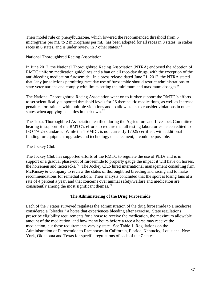Their model rule on phenylbutazone, which lowered the recommended threshold from 5 micrograms per mL to 2 micrograms per mL, has been adopted for all races in 8 states, in stakes races in 6 states, and is under review in 7 other states.<sup>[75](#page-55-62)</sup>

## National Thoroughbred Racing Association

In June 2012, the National Thoroughbred Racing Association (NTRA) endorsed the adoption of RMTC uniform medication guidelines and a ban on all race-day drugs, with the exception of the anti-bleeding medication furosemide. In a press release dated June 21, 2012, the NTRA stated that "any jurisdictions permitting race day use of furosemide should restrict administrations to state veterinarians and comply with limits setting the minimum and maximum dosages."

The National Thoroughbred Racing Association went on to further support the RMTC's efforts to set scientifically supported threshold levels for 26 therapeutic medications, as well as increase penalties for trainers with multiple violations and to allow states to consider violations in other states when applying penalties in their own.<sup>[76](#page-55-63)</sup>

The Texas Thoroughbred Association testified during the Agriculture and Livestock Committee hearing in support of the RMTC's efforts to require that all testing laboratories be accredited to ISO 17025 standards. While the TVMDL is not currently 17025 certified, with additional funding for equipment upgrades and technology enhancement, it could be possible.

# The Jockey Club

The Jockey Club has supported efforts of the RMTC to regulate the use of PEDs and is in support of a gradual phase-out of furosemide to properly gauge the impact it will have on horses, the horsemen and racetracks.[77](#page-55-64) The Jockey Club hired international management consulting firm McKinsey & Company to review the status of thoroughbred breeding and racing and to make recommendations for remedial action. Their analysis concluded that the sport is losing fans at a rate of 4 percent a year, and that concerns over animal safety/welfare and medication are consistently among the most significant themes.<sup>[78](#page-55-65)</sup>

#### **The Administering of the Drug Furosemide**

Each of the 7 states surveyed regulates the administration of the drug furosemide to a racehorse considered a "bleeder," a horse that experiences bleeding after exercise. State regulations prescribe eligibility requirements for a horse to receive the medication, the maximum allowable amount of the medication, and how many hours before a race a horse may receive the medication, but these requirements vary by state. See Table 1. Regulations on the Administration of Furosemide to Racehorses in California, Florida, Kentucky, Louisiana, New York, Oklahoma and Texas for specific regulations of each of the 7 states.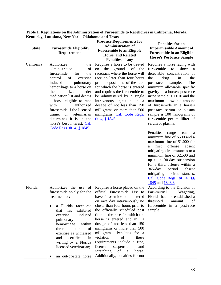| <b>State</b> | <b>Furosemide Eligibility</b><br><b>Requirements</b>                                                                                                                                                                                                                                                                                                                                                                                                                                     | <b>Pre-race Requirements for</b><br><b>Administration of</b><br><b>Furosemide to an Eligible</b><br>Horse, and Related<br>Penalties, if any                                                                                                                                                                                                                                                                                                                                                                                      | <b>Penalties for an</b><br><b>Impermissible Amount of</b><br><b>Furosemide in an Eligible</b><br><b>Horse's Post-race Sample</b>                                                                                                                                                                                                                                                                                                                                                                                                                                                                                                                                                                   |  |
|--------------|------------------------------------------------------------------------------------------------------------------------------------------------------------------------------------------------------------------------------------------------------------------------------------------------------------------------------------------------------------------------------------------------------------------------------------------------------------------------------------------|----------------------------------------------------------------------------------------------------------------------------------------------------------------------------------------------------------------------------------------------------------------------------------------------------------------------------------------------------------------------------------------------------------------------------------------------------------------------------------------------------------------------------------|----------------------------------------------------------------------------------------------------------------------------------------------------------------------------------------------------------------------------------------------------------------------------------------------------------------------------------------------------------------------------------------------------------------------------------------------------------------------------------------------------------------------------------------------------------------------------------------------------------------------------------------------------------------------------------------------------|--|
| California   | Authorizes<br>the<br>$% \left( \left( \mathcal{A},\mathcal{A}\right) \right)$ of<br>administration<br>furosemide<br>for<br>the<br>of<br>exercise<br>control<br>induced<br>pulmonary<br>hemorrhage to a horse on<br>authorized bleeder<br>the<br>medication list and deems<br>a horse eligible to race<br>with<br>authorized<br>furosemide if the licensed<br>trainer<br>veterinarian<br><b>or</b><br>determines it is in the<br>horse's best interest. Cal.<br>Code Regs. tit. 4, § 1845 | Requires a horse to be treated<br>the<br>grounds<br>of<br>on<br>the<br>racetrack where the horse will<br>race no later than four hours<br>prior to post time of the race<br>for which the horse is entered<br>and requires the furosemide to<br>be administered by a single<br>intravenous injection in a<br>dosage of not less than 150<br>milligrams or more than 500<br>milligrams. Cal. Code Regs.<br>tit. 4, $§$ 1845                                                                                                       | Requires a horse racing with<br>furosemide<br>show<br>to<br>a<br>detectable concentration of<br>the<br>drug<br>in<br>the<br>The<br>sample.<br>post-race<br>minimum allowable specific<br>gravity of a horse's post-race<br>urine sample is 1.010 and the<br>maximum allowable amount<br>of furosemide in a horse's<br>post-race serum or plasma<br>sample is 100 nanograms of<br>furosemide per milliliter of<br>serum or plasma.<br>Penalties<br>range<br>from<br>a<br>minimum fine of \$500 and a<br>maximum fine of \$1,000 for<br>offense<br>first<br>absent<br>a<br>mitigating circumstances to a<br>minimum fine of \$2,500 and<br>up to a 30-day suspension<br>for a third offense within a |  |
|              |                                                                                                                                                                                                                                                                                                                                                                                                                                                                                          |                                                                                                                                                                                                                                                                                                                                                                                                                                                                                                                                  | $365$ -day<br>period<br>absent<br>mitigating<br>circumstances.<br>Cal. Code Regs. tit. 4, §§<br>1845 and 1843.3                                                                                                                                                                                                                                                                                                                                                                                                                                                                                                                                                                                    |  |
| Florida      | Authorizes the use of<br>furosemide solely for the<br>treatment of:<br>a Florida racehorse<br>exhibited<br>that<br>has<br>exercise<br>induced<br>pulmonary<br>hemorrhage<br>within<br>three<br>hours<br>of<br>exercise as witnessed<br>certified<br>and<br>in<br>writing by a Florida<br>licensed veterinarian;<br>an out-of-state horse                                                                                                                                                 | Requires a horse placed on the<br>official Furosemide List to<br>have furosemide administered<br>on race day intravenously no<br>closer than four hours prior to<br>the officially scheduled post<br>time of the race for which the<br>horse is entered and in a<br>dosage of not less than 150<br>milligrams or more than 500<br>milligrams. Penalties for a<br>violation<br>of<br>these<br>requirements include a fine,<br>license<br>suspension,<br>and<br>scratching<br>of<br>a<br>horse.<br>Additionally, penalties for not | According to the Division of<br>Pari-mutuel<br>Wagering,<br>Florida has not established a<br>$% \left( \left( \mathcal{A},\mathcal{A}\right) \right)$ of $% \left( \mathcal{A},\mathcal{A}\right)$<br>threshold<br>amount<br>furosemide in a post-race<br>sample.                                                                                                                                                                                                                                                                                                                                                                                                                                  |  |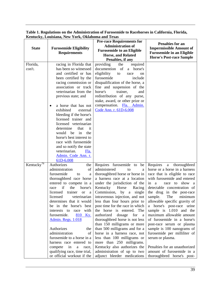**Table 1. Regulations on the Administration of Furosemide to Racehorses in California, Florida, Kentucky, Louisiana, New York, Oklahoma and Texas**

| <b>State</b>           | <b>Furosemide Eligibility</b><br><b>Requirements</b> | <b>Pre-race Requirements for</b><br><b>Administration of</b><br><b>Furosemide to an Eligible</b><br><b>Horse, and Related</b><br>Penalties, if any |                                                                |
|------------------------|------------------------------------------------------|----------------------------------------------------------------------------------------------------------------------------------------------------|----------------------------------------------------------------|
| Florida,               | racing in Florida that                               | providing<br>the<br>required                                                                                                                       |                                                                |
| con't.                 | has been so witnessed<br>and certified or has        | documention of<br>horse's<br>a<br>eligibility<br>to<br>race<br>on                                                                                  |                                                                |
|                        | been certified by the                                | furosemide<br>include                                                                                                                              |                                                                |
|                        | racing commission or                                 | disqualification of the horse, a                                                                                                                   |                                                                |
|                        | association or track                                 | fine and suspension of the                                                                                                                         |                                                                |
|                        | veterinarian from the                                | horse's<br>trainer,<br>and<br>redistribution of any purse,                                                                                         |                                                                |
|                        | previous state; and                                  | stake, award, or other prize or                                                                                                                    |                                                                |
|                        | a horse that has not<br>$\bullet$                    | compensation. Fla. Admin.                                                                                                                          |                                                                |
|                        | exhibited<br>external                                | Code Ann. r. 61D-6.008                                                                                                                             |                                                                |
|                        | bleeding if the horse's<br>licensed trainer and      |                                                                                                                                                    |                                                                |
|                        | licensed veterinarian                                |                                                                                                                                                    |                                                                |
|                        | determine<br>that<br>it                              |                                                                                                                                                    |                                                                |
|                        | in<br>would be<br>the                                |                                                                                                                                                    |                                                                |
|                        | horse's best interest to                             |                                                                                                                                                    |                                                                |
|                        | race with furosemide<br>and so notify the state      |                                                                                                                                                    |                                                                |
|                        | veterinarian.<br>Fla.                                |                                                                                                                                                    |                                                                |
|                        | Admin. Code Ann. r.                                  |                                                                                                                                                    |                                                                |
|                        | 61D-6.008                                            |                                                                                                                                                    |                                                                |
| Kentucky <sup>79</sup> | Authorizes<br>the                                    | Requires furosemide to<br>be                                                                                                                       | Requires<br>$\mathbf{a}$<br>thoroughbred                       |
|                        | of<br>administration<br>furosemide<br>to             | administered<br>to<br>a<br>thoroughbred horse or horse in                                                                                          | horse or a horse in a harness<br>race that is eligible to race |
|                        | a<br>thoroughbred race horse                         | a harness race at a location                                                                                                                       | with furosemide and entered                                    |
|                        | entered to compete in a                              | under the jurisdiction of the                                                                                                                      | race to show a<br>in a                                         |
|                        | if<br>the<br>horse's<br>race                         | Kentucky<br>Horse<br>Racing                                                                                                                        | detectable concentration of                                    |
|                        | trainer<br>licensed<br><sub>or</sub><br>a            | Commission,<br>by<br>single<br>a                                                                                                                   | the drug in the post-race                                      |
|                        | licensed<br>veterinarian                             | intravenous injection, and not                                                                                                                     | sample.<br>The<br>minimum<br>allowable specific gravity of     |
|                        | determines that it would<br>be in the horse's best   | less than four hours prior to<br>post time for the race in which                                                                                   | a horse's post-race urine                                      |
|                        | with<br>interests to race                            | the horse is entered. The                                                                                                                          | sample is 1.010 and the                                        |
|                        | furosemide.<br>810 Ky.                               | authorized<br>dosage<br>for<br><sub>a</sub>                                                                                                        | maximum allowable amount                                       |
|                        | <b>Admin. Regs. 1:018</b>                            | thoroughbred horse is not less                                                                                                                     | of furosemide in a horse's                                     |
|                        |                                                      | than 150 milligrams or more                                                                                                                        | post-race serum or plasma                                      |
|                        | Authorizes<br>the<br>administration<br>of            | than 500 milligrams and for a<br>horse in a harness race, not                                                                                      | sample is 100 nanograms of<br>furosemide per milliliter of     |
|                        | furosemide to a horse in a                           | less than 100 milligrams or                                                                                                                        | serum or plasma.                                               |
|                        | harness race entered to                              | more than 250 milligrams.                                                                                                                          |                                                                |
|                        | compete<br>in<br>$\rm{a}$<br>race,                   | Kentucky also authorizes the                                                                                                                       | Penalties for an unauthorized                                  |
|                        | qualifying race, time trial,                         | administration of up to two                                                                                                                        | amount of furosemide in a                                      |
|                        | or official workout if the                           | adjunct bleeder medications                                                                                                                        | thoroughbred horse's post-                                     |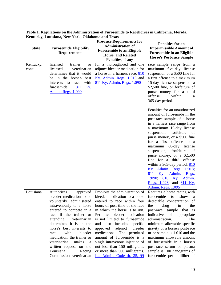| <b>State</b>        | <b>Furosemide Eligibility</b><br><b>Requirements</b>                                                                                                                                                                                                                                                                                                                                                                    | <b>Pre-race Requirements for</b><br><b>Administration of</b><br><b>Furosemide to an Eligible</b><br><b>Horse, and Related</b><br>Penalties, if any                                                                                                                                                                                                                                                                                                                                           | <b>Penalties for an</b><br><b>Impermissible Amount of</b><br><b>Furosemide in an Eligible</b><br><b>Horse's Post-race Sample</b>                                                                                                                                                                                                                                                                                                                                                                                                              |
|---------------------|-------------------------------------------------------------------------------------------------------------------------------------------------------------------------------------------------------------------------------------------------------------------------------------------------------------------------------------------------------------------------------------------------------------------------|----------------------------------------------------------------------------------------------------------------------------------------------------------------------------------------------------------------------------------------------------------------------------------------------------------------------------------------------------------------------------------------------------------------------------------------------------------------------------------------------|-----------------------------------------------------------------------------------------------------------------------------------------------------------------------------------------------------------------------------------------------------------------------------------------------------------------------------------------------------------------------------------------------------------------------------------------------------------------------------------------------------------------------------------------------|
| Kentucky,<br>con't. | licensed<br>trainer<br><b>or</b><br>licensed<br>veterinarian<br>determines that it would<br>be in the horse's<br>best<br>with<br>interests to<br>race<br>811 Ky.<br>furosemide.<br>Admin. Regs. 1:090                                                                                                                                                                                                                   | for a thoroughbred and one<br>adjunct bleeder medication for<br>a horse in a harness race. 810<br>Ky. Admin. Regs. 1:018 and<br>811 Ky. Admin. Regs. 1:090                                                                                                                                                                                                                                                                                                                                   | race sample range from a<br>maximum five-day license<br>suspension or a \$500 fine for<br>a first offense to a maximum<br>15-day license suspension, a<br>\$2,500 fine, or forfeiture of<br>purse money for a third<br>offense<br>within<br>a<br>365-day period.                                                                                                                                                                                                                                                                              |
|                     |                                                                                                                                                                                                                                                                                                                                                                                                                         |                                                                                                                                                                                                                                                                                                                                                                                                                                                                                              | Penalties for an unauthorized<br>amount of furosemide in the<br>post-race sample of a horse<br>in a harness race range from<br>a maximum 10-day license<br>suspension,<br>forfeiture<br>of<br>purse money, or a \$500 fine<br>for a first offense to a<br>maximum 60-day license<br>forfeiture<br>suspension,<br>of<br>purse money, or a \$2,500<br>fine for a third offense<br>within a 365-day period. 810<br>Ky. Admin. Regs. 1:018;<br>811 Ky. Admin. Regs.<br>1:090;<br>810 Ky. Admin.<br>Regs. 1:028; and 811 Ky.<br>Admin. Regs. 1:095 |
| Louisiana           | Authorizes<br>approved<br>bleeder medication to be<br>voluntarily administered<br>intravenously to a horse<br>entered to compete in a<br>race if the trainer or<br>attending<br>veterinarian<br>determines it is in the<br>horse's best interests to<br>with<br>bleeder<br>race<br>medication, the trainer or<br>veterinarian<br>makes<br>a<br>written request on the<br>Louisiana<br>Racing<br>Commission veterinarian | Prohibits the administration of<br>bleeder medication to a horse<br>entered to race within four<br>hours of post time of the race<br>in which the horse is to run.<br>Permitted bleeder medication<br>is not limited to furosemide<br>and also includes specific<br>adjunct bleeder<br>approved<br>medications. The permitted<br>amount of furosemide is a<br>single intravenous injection of<br>not less than 150 milligrams<br>or more than 500 milligrams.<br>La. Admin. Code tit. 35, §§ | Requires a horse racing with<br>furosemide<br>show<br>to<br>a<br>detectable concentration of<br>drug<br>the<br>the<br>in<br>sample that is<br>post-race<br>indicative<br>of<br>appropriate<br>administration.<br>The<br>minimum allowable specific<br>gravity of a horse's post-race<br>urine sample is 1.010 and the<br>maximum allowable amount<br>of furosemide in a horse's<br>post-race serum or plasma<br>sample is 100 nanograms of<br>furosemide per milliliter of                                                                    |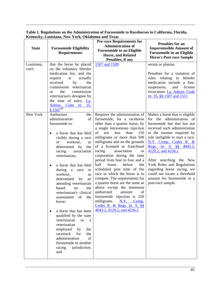| <b>State</b> | <b>Furosemide Eligibility</b><br><b>Requirements</b>                                                                                                                                                                                                                                                                                                                                                                                                                                                                                                                                                                                                                                                                                      | <b>Pre-race Requirements for</b><br><b>Administration of</b><br><b>Furosemide to an Eligible</b><br><b>Horse, and Related</b><br>Penalties, if any                                                                                                                                                                                                                                                                                                                                                                                                                                                                                                                                                                                    | <b>Penalties for an</b><br><b>Impermissible Amount of</b><br><b>Furosemide in an Eligible</b><br><b>Horse's Post-race Sample</b>                                                                                                                                                                                                                                                                                                                 |
|--------------|-------------------------------------------------------------------------------------------------------------------------------------------------------------------------------------------------------------------------------------------------------------------------------------------------------------------------------------------------------------------------------------------------------------------------------------------------------------------------------------------------------------------------------------------------------------------------------------------------------------------------------------------------------------------------------------------------------------------------------------------|---------------------------------------------------------------------------------------------------------------------------------------------------------------------------------------------------------------------------------------------------------------------------------------------------------------------------------------------------------------------------------------------------------------------------------------------------------------------------------------------------------------------------------------------------------------------------------------------------------------------------------------------------------------------------------------------------------------------------------------|--------------------------------------------------------------------------------------------------------------------------------------------------------------------------------------------------------------------------------------------------------------------------------------------------------------------------------------------------------------------------------------------------------------------------------------------------|
| Louisiana,   | that the horse be placed                                                                                                                                                                                                                                                                                                                                                                                                                                                                                                                                                                                                                                                                                                                  | 1507 and 1509                                                                                                                                                                                                                                                                                                                                                                                                                                                                                                                                                                                                                                                                                                                         | serum or plasma.                                                                                                                                                                                                                                                                                                                                                                                                                                 |
| con't.       | on the voluntary bleeder<br>medication list, and the<br>actually<br>is<br>request<br>received<br>by<br>the<br>commission veterinarian<br>commission<br>the<br><sub>or</sub><br>veterinarian's designee by<br>the time of entry. La.<br>Admin. Code tit. 35,<br>$81507^{80}$                                                                                                                                                                                                                                                                                                                                                                                                                                                               |                                                                                                                                                                                                                                                                                                                                                                                                                                                                                                                                                                                                                                                                                                                                       | Penalties for a violation of<br>rules relating<br>bleeder<br>to<br>medication include a fine,<br>suspension,<br>and<br>license<br>revocation. La. Admin. Code<br>tit. 35, §§ 1507 and 1511                                                                                                                                                                                                                                                       |
| New York     | Authorizes<br>the<br>administration<br>of<br>furosemide to:<br>a horse that has bled<br>$\bullet$<br>visibly during a race<br>workout,<br><b>or</b><br>as<br>determined by<br>the<br>racing<br>association<br>veterinarian;<br>a horse that has bled<br>$\bullet$<br>during<br>$\mathbf{a}$<br>race<br><sub>or</sub><br>workout,<br>as<br>determined<br>by<br>an<br>attending veterinarian<br>based<br>the<br>on<br>veterinarian's clinical<br>of<br>the<br>assessment<br>horse;<br>a horse that has been<br>$\bullet$<br>qualified by the state<br>veterinarian<br><b>or</b><br>a<br>veterinarian<br>employed<br>by<br>the<br>racetrack<br>for<br>the<br>of<br>administration<br>furosemide in another<br>racing<br>jurisdiction;<br>and | Requires the administration of<br>furosemide, for a racehorse<br>other than a quarter horse, by<br>a single intravenous injection<br>of<br>not<br>less<br>than<br>150<br>milligrams or more than 500<br>milligrams and on the grounds<br>of a licensed or franchised<br>racing<br>association<br><b>or</b><br>corporation during the time<br>period from four to four and a<br>half<br>before<br>hours<br>the<br>scheduled post time of the<br>race in which the horse is to<br>compete. The requirements for<br>a quarter horse are the same as<br>above except the minimum<br>authorized<br>of<br>amount<br>furosemide injection is 250<br>milligrams.<br>N.Y. Comp.<br>Codes R. & Regs. tit. $9, \S$<br>4043.2, 4120.2, and 4236.2 | Makes a horse that is eligible<br>for the administration of<br>furosemide but that has not<br>received such administration<br>in the manner required by<br>rule ineligible to start a race.<br>N.Y. Comp. Codes R. &<br>Regs. tit. 9, §§ 4043.2,<br>4120.2, and 4236.2<br>After searching the New<br>York Rules and Regulations<br>regarding horse racing, we<br>could not locate a threshold<br>amount for furosemide in a<br>post-race sample. |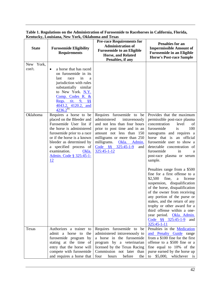| <b>State</b>        | <b>Furosemide Eligibility</b><br><b>Requirements</b>                                                                                                                                                                                                                                    | <b>Pre-race Requirements for</b><br><b>Administration of</b><br><b>Furosemide to an Eligible</b><br><b>Horse, and Related</b><br>Penalties, if any                                                                                                                  | <b>Penalties for an</b><br><b>Impermissible Amount of</b><br><b>Furosemide in an Eligible</b><br><b>Horse's Post-race Sample</b>                                                                                                                                                                                                                                                                                      |
|---------------------|-----------------------------------------------------------------------------------------------------------------------------------------------------------------------------------------------------------------------------------------------------------------------------------------|---------------------------------------------------------------------------------------------------------------------------------------------------------------------------------------------------------------------------------------------------------------------|-----------------------------------------------------------------------------------------------------------------------------------------------------------------------------------------------------------------------------------------------------------------------------------------------------------------------------------------------------------------------------------------------------------------------|
| New York,<br>con't. | a horse that has raced<br>$\bullet$<br>on furosemide in its<br>in<br>last<br>race<br>a<br>jurisdiction with rules<br>substantially similar<br>to New York. N.Y.<br>Comp. Codes R. &<br>Regs. tit. 9, §§<br>4043.2, 4120.2, and<br>$4236.2^{81}$                                         |                                                                                                                                                                                                                                                                     |                                                                                                                                                                                                                                                                                                                                                                                                                       |
| Oklahoma            | Requires a horse to be<br>placed on the Bleeder and<br>Furosemide User list if<br>the horse is administered<br>furosemide prior to a race<br>or if the horse is a known<br>bleeder as determined by<br>a specified process of<br>examination.<br>Okla.<br>Admin. Code § 325:45-1-<br>12 | Requires furosemide to<br>be<br>administered<br>intravenously<br>and not less than four hours<br>prior to post time and in an<br>amount not less than 150<br>milligrams or more than 250<br>milligrams.<br>Okla. Admin.<br>Code §§ 325:45-1-9<br>and<br>325:45-1-12 | Provides that the maximum<br>permissible post-race plasma<br>concentration<br>level<br>of<br>furosemide<br>100<br>is<br>nanograms and requires a<br>horse that is an official<br>furosemide user to show a<br>detectable concentration of<br>furosemide<br>in<br>a<br>post-race plasma or serum<br>sample.                                                                                                            |
|                     |                                                                                                                                                                                                                                                                                         |                                                                                                                                                                                                                                                                     | Penalties range from a \$500<br>fine for a first offense to a<br>\$2,500<br>fine,<br>license<br>a<br>suspension, disqualification<br>of the horse, disqualification<br>of the owner from receiving<br>any portion of the purse or<br>stakes, and the return of any<br>trophy or other award for a<br>third offense within a one-<br>year period. Okla. Admin.<br>Code $\frac{88}{325:45-1-9}$<br>and<br>$325:45-1-11$ |
| Texas               | Authorizes a trainer to<br>admit a horse to the<br>furosemide program by<br>stating at the time of<br>entry that the horse will<br>compete with furosemide<br>and requires a horse that                                                                                                 | Requires furosemide to be<br>administered intravenously to<br>a horse in the furosemide<br>program by a veterinarian<br>licensed by the Texas Racing<br>Commission not later than<br>hours<br>before<br>four<br>the                                                 | Penalties in the <b>Medication</b><br>and Penalty Guide range<br>from a \$100 fine for the first<br>offense to a \$500 fine or a<br>fine equal to 10% of the<br>purse earned by the horse up<br>\$5,000, whichever is<br>to                                                                                                                                                                                           |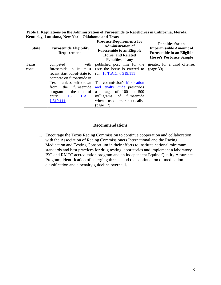**Table 1. Regulations on the Administration of Furosemide to Racehorses in California, Florida, Kentucky, Louisiana, New York, Oklahoma and Texas**

| <b>State</b> | <b>Furosemide Eligibility</b><br><b>Requirements</b> | <b>Pre-race Requirements for</b><br><b>Administration of</b><br><b>Furosemide to an Eligible</b><br><b>Horse, and Related</b><br>Penalties, if any | <b>Penalties for an</b><br><b>Impermissible Amount of</b><br><b>Furosemide in an Eligible</b><br><b>Horse's Post-race Sample</b> |
|--------------|------------------------------------------------------|----------------------------------------------------------------------------------------------------------------------------------------------------|----------------------------------------------------------------------------------------------------------------------------------|
| Texas,       | with<br>competed                                     | published post time for the                                                                                                                        | greater, for a third offense.                                                                                                    |
| con't.       | furosemide in its most                               | race the horse is entered to                                                                                                                       | (page 30)                                                                                                                        |
|              | recent start out-of-state to                         | run. 16 T.A.C. § 319.111                                                                                                                           |                                                                                                                                  |
|              | compete on furosemide in                             |                                                                                                                                                    |                                                                                                                                  |
|              | Texas unless withdrawn                               | The commission's Medication                                                                                                                        |                                                                                                                                  |
|              | the<br>furosemide<br>from                            | and Penalty Guide prescribes                                                                                                                       |                                                                                                                                  |
|              | program at the time of                               | a dosage of $100$ to $500$                                                                                                                         |                                                                                                                                  |
|              | 16<br>T.A.C.<br>entry.                               | milligrams of furosemide                                                                                                                           |                                                                                                                                  |
|              | § 319.111                                            | when used therapeutically.                                                                                                                         |                                                                                                                                  |
|              |                                                      | (page 17)                                                                                                                                          |                                                                                                                                  |

#### **Recommendations**

1. Encourage the Texas Racing Commission to continue cooperation and collaboration with the Association of Racing Commissioners International and the Racing Medication and Testing Consortium in their efforts to institute national minimum standards and best practices for drug testing laboratories and implement a laboratory ISO and RMTC accreditation program and an independent Equine Quality Assurance Program; identification of emerging threats; and the continuation of medication classification and a penalty guideline overhaul**.**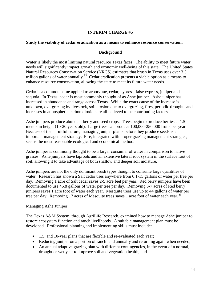# **INTERIM CHARGE #5**

#### **Study the viability of cedar eradication as a means to enhance resource conservation.**

#### **Background**

Water is likely the most limiting natural resource Texas faces. The ability to meet future water needs will significantly impact growth and economic well-being of this state. The United States Natural Resources Conservation Service (NRCS) estimates that brush in Texas uses over 3.5 trillion gallons of water annually.<sup>82</sup> Cedar eradication presents a viable option as a means to enhance resource conservation, allowing the state to meet its future water needs.

Cedar is a common name applied to arborvitae, cedar, cypress, false cypress, juniper and sequoia. In Texas, cedar is most commonly thought of as Ashe juniper. Ashe juniper has increased in abundance and range across Texas. While the exact cause of the increase is unknown, overgrazing by livestock, soil erosion due to overgrazing, fires, periodic droughts and increases in atmospheric carbon dioxide are all believed to be contributing factors.

Ashe junipers produce abundant berry and seed crops. Trees begin to produce berries at 1.5 meters in height (10-20 years old). Large trees can produce 100,000-250,000 fruits per year. Because of their fruitful nature, managing juniper plants before they produce seeds is an important management strategy. Fire, integrated with proper grazing management strategies, seems the most reasonable ecological and economical method.

Ashe juniper is commonly thought to be a larger consumer of water in comparison to native grasses. Ashe junipers have taproots and an extensive lateral root system in the surface foot of soil, allowing it to take advantage of both shallow and deeper soil moisture.

Ashe junipers are not the only dominant brush types thought to consume large quantities of water. Research has shown a Salt cedar uses anywhere from 0.1-15 gallons of water per tree per day. Removing 1 acre of Salt cedar saves 2-5 acre feet per year. Red berry junipers have been documented to use 46.8 gallons of water per tree per day. Removing 3-7 acres of Red berry junipers saves 1 acre foot of water each year. Mesquite trees use up to 44 gallons of water per tree per day. Removing 17 acres of Mesquite trees saves 1 acre foot of water each year.<sup>[83](#page-55-70)</sup>

#### Managing Ashe Juniper

The Texas A&M System, through AgriLife Research, examined how to manage Ashe juniper to restore ecosystem function and ranch livelihoods. A suitable management plan must be developed. Professional planning and implementing skills must include:

- 1,5, and 10-year plans that are flexible and re-evaluated each year;
- Reducing juniper on a portion of ranch land annually and returning again when needed;
- An annual adaptive grazing plan with different contingencies, in the event of a normal, drought or wet year to improve soil and vegetation health; and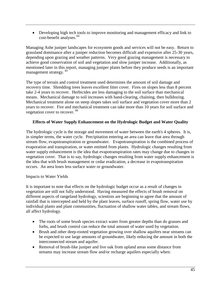• Developing high tech tools to improve monitoring and management efficacy and link to cost-benefit analyses.<sup>[84](#page-55-71)</sup>

Managing Ashe juniper landscapes for ecosystem goods and services will not be easy. Return to grassland dominance after a juniper reduction becomes difficult and expensive after 25-30 years, depending upon grazing and weather patterns. Very good grazing management is necessary to achieve good conservation of soil and vegetation and slow juniper increase. Additionally, as mentioned later in this report, managing juniper plants before they produce seeds is an important management strategy. [85](#page-55-72)

The type of terrain and control treatment used determines the amount of soil damage and recovery time. Shredding trees leaves excellent litter cover. Fires on slopes less than 8 percent take 2-4 years to recover. Herbicides are less damaging to the soil surface than mechanical means. Mechanical damage to soil increases with hand-clearing, chaining, then bulldozing. Mechanical treatment alone on steep slopes takes soil surface and vegetation cover more than 2 years to recover. Fire and mechanical treatment can take more than 10 years for soil surface and vegetation cover to recover. [86](#page-55-73)

#### **Effects of Water Supply Enhancement on the Hydrologic Budget and Water Quality**

The hydrologic cycle is the storage and movement of water between the earth's 4 spheres. It is, in simpler terms, the water cycle. Precipitation entering an area can leave that area through stream flow, evapotranspiration or groundwater. Evapotranspiration is the combined process of evaporation and transpiration, or water emitted from plants. Hydrologic changes resulting from water supply enhancement is the idea that evapotranspiration rates may change due to changes in vegetation cover. That is to say, hydrologic changes resulting from water supply enhancement is the idea that with brush management or cedar eradication, a decrease in evapotranspiration occurs. An area loses less surface water or groundwater.

#### Impacts to Water Yields

It is important to note that effects on the hydrologic budget occur as a result of changes in vegetation are still not fully understood. Having measured the effects of brush removal on different aspects of rangeland hydrology, scientists are beginning to agree that the amount of rainfall that is intercepted and held by the plant leaves, surface runoff, spring flow, water use by individual plants and plant communities, fluctuation of shallow water tables, and stream flows, all affect hydrology.

- The roots of some brush species extract water from greater depths than do grasses and forbs, and brush control can reduce the total amount of water used by vegetation.
- Brush and other deep-rooted vegetation growing over shallow aquifers near streams can be expected to use large amounts of groundwater, likely reducing the amount in both the interconnected stream and aquifer.
- Removal of brush-like juniper and live oak from upland areas some distance from streams may increase stream flow and/or recharge aquifers especially when: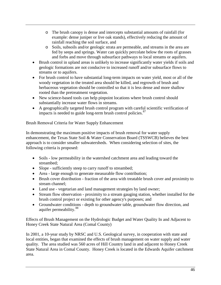- o The brush canopy is dense and intercepts substantial amounts of rainfall (for example: dense juniper or live oak stands), effectively reducing the amount of rainfall reaching the soil surface, and
- o Soils, subsoils and/or geologic strata are permeable, and streams in the area are fed by seeps and springs. Water can quickly percolate below the roots of grasses and forbs and move through subsurface pathways to local streams or aquifers.
- Brush control in upland areas is unlikely to increase significantly water yields if soils and geologic formations are not conducive to increased runoff and/or subsurface flows to streams or to aquifers.
- For brush control to have substantial long-term impacts on water yield, most or all of the woody vegetation in the treated area should be killed, and regrowth of brush and herbaceous vegetation should be controlled so that it is less dense and more shallow rooted than the pretreatment vegetation.
- New science-based tools can help pinpoint locations where brush control should substantially increase water flows in streams.
- A geographically targeted brush control program with careful scientific verification of impacts is needed to guide long-term brush control policies. $87$

# Brush Removal Criteria for Water Supply Enhancement

In demonstrating the maximum positive impacts of brush removal for water supply enhancement, the Texas State Soil & Water Conservation Board (TSSWCB) believes the best approach is to consider smaller subwatersheds. When considering selection of sites, the following criteria is proposed:

- Soils low permeability in the watershed catchment area and leading toward the streambed;
- Slope sufficiently steep to carry runoff to streambed;
- Area large enough to generate measurable flow contribution;
- Brush cover distribution fraction of the area with treatable brush cover and proximity to stream channel;
- Land use vegetarian and land management strategies by land owner;
- Stream flow observation proximity to a stream gauging station, whether installed for the brush control project or existing for other agency's purposes; and
- Groundwater conditions depth to groundwater table, groundwater flow direction, and aquifer permeability.<sup>[88](#page-55-75)</sup>

Effects of Brush Management on the Hydrologic Budget and Water Quality In and Adjacent to Honey Creek State Natural Area (Comal County)

In 2001, a 10-year study by NRSC and U.S. Geological survey, in cooperation with state and local entities, began that examined the effects of brush management on water supply and water quality. The area studied was 560 acres of Hill Country land in and adjacent to Honey Creek State Natural Area in Comal County. Honey Creek is located in the Edwards Aquifer catchment area.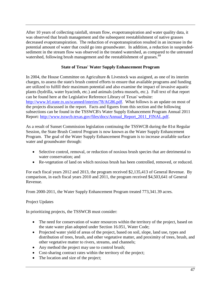After 10 years of collecting rainfall, stream flow, evapotranspiration and water quality data, it was observed that brush management and the subsequent reestablishment of native grasses decreased evapotranspiration. The reduction of evapotranspiration resulted in an increase in the potential amount of water that could go into groundwater. In addition, a reduction in suspendedsediment in the stream flow was observed in the treated watershed, as compared to the untreated watershed, following brush management and the reestablishment of grasses.<sup>[89](#page-55-19)</sup>

# **State of Texas' Water Supply Enhancement Program**

In 2004, the House Committee on Agriculture & Livestock was assigned, as one of its interim charges, to assess the state's brush control efforts to ensure that available programs and funding are utilized to fulfill their maximum potential and also examine the impact of invasive aquatic plants (hydrilla, water hyacinth, etc.) and animals (zebra mussels, etc.). Full text of that report can be found here at the Legislative Reference Library of Texas' website: [http://www.lrl.state.tx.us/scanned/interim/78/AG86.pdf.](http://www.lrl.state.tx.us/scanned/interim/78/AG86.pdf) What follows is an update on most of the projects discussed in the report. Facts and figures from this section and the following subsections can be found in the TSSWCB's Water Supply Enhancement Program Annual 2011 Report: [http://www.tsswcb.texas.gov/files/docs/Annual\\_Report\\_2011\\_FINAL.pdf.](http://www.tsswcb.texas.gov/files/docs/Annual_Report_2011_FINAL.pdf)

As a result of Sunset Commission legislation continuing the TSSWCB during the 81st Regular Session, the State Brush Control Program is now known as the Water Supply Enhancement Program. The goal of the Water Supply Enhancement Program is to increase available surface water and groundwater through:

- Selective control, removal, or reduction of noxious brush species that are detrimental to water conservation; and
- Re-vegetation of land on which noxious brush has been controlled, removed, or reduced.

For each fiscal years 2012 and 2013, the program received \$2,135,413 of General Revenue. By comparison, in each fiscal years 2010 and 2011, the program received \$4,503,641 of General Revenue.

From 2000-2011, the Water Supply Enhancement Program treated 773,341.39 acres.

#### Project Updates

In prioritizing projects, the TSSWCB must consider:

- The need for conservation of water resources within the territory of the project, based on the state water plan adopted under Section 16.051, Water Code;
- Projected water yield of areas of the project, based on soil, slope, land use, types and distribution of trees, brush, and other vegetative matter, and proximity of trees, brush, and other vegetative matter to rivers, streams, and channels;
- Any method the project may use to control brush;
- Cost-sharing contract rates within the territory of the project;
- The location and size of the project;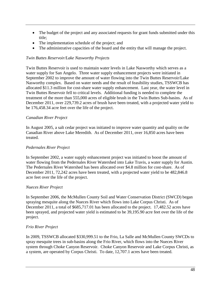- The budget of the project and any associated requests for grant funds submitted under this title;
- The implementation schedule of the project; and
- The administrative capacities of the board and the entity that will manage the project.

#### *Twin Buttes Reservoir/Lake Nasworthy Projects*

Twin Buttes Reservoir is used to maintain water levels in Lake Nasworthy which serves as a water supply for San Angelo. Three water supply enhancement projects were initiated in September 2002 to improve the amount of water flowing into the Twin Buttes Reservoir/Lake Nasworthy complex. Based on water needs and the result of feasibility studies, TSSWCB has allocated \$11.3 million for cost-share water supply enhancement. Last year, the water level in Twin Buttes Reservoir fell to critical levels. Additional funding is needed to complete the treatment of the more than 555,000 acres of eligible brush in the Twin Buttes Sub-basins. As of December 2011, over 229,739.2 acres of brush have been treated, with a projected water yield to be 176,458.34 acre feet over the life of the project.

#### *Canadian River Project*

In August 2005, a salt cedar project was initiated to improve water quantity and quality on the Canadian River above Lake Meredith. As of December 2011, over 16,850 acres have been treated.

#### *Pedernales River Project*

In September 2002, a water supply enhancement project was initiated to boost the amount of water flowing from the Pedernales River Watershed into Lake Travis, a water supply for Austin. The Pedernales River Watershed has been allocated over \$4.8 million for cost-share. As of December 2011, 72,242 acres have been treated, with a projected water yield to be 482,846.8 acre feet over the life of the project.

#### *Nueces River Project*

In September 2006, the McMullen County Soil and Water Conservation District (SWCD) began spraying mesquite along the Nueces River which flows into Lake Corpus Christi. As of December 2011, a total of \$685,717.01 has been allocated to the project. 17,482.52 acres have been sprayed, and projected water yield is estimated to be 39,195.90 acre feet over the life of the project.

#### *Frio River Project*

In 2009, TSSWCB allocated \$330,999.51 to the Frio, La Salle and McMullen County SWCDs to spray mesquite trees in sub-basins along the Frio River, which flows into the Nueces River system through Choke Canyon Reservoir. Choke Canyon Reservoir and Lake Corpus Christi, as a system, are operated by Corpus Christi. To date, 12,707.1 acres have been treated.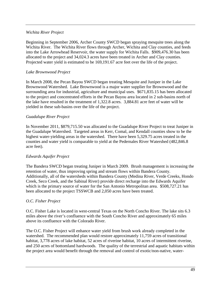#### *Wichita River Project*

Beginning in September 2006, Archer County SWCD began spraying mesquite trees along the Wichita River. The Wichita River flows through Archer, Wichita and Clay counties, and feeds into the Lake Arrowhead Reservoir, the water supply for Wichita Falls. \$909,476.30 has been allocated to the project and 34,024.3 acres have been treated in Archer and Clay counties. Projected water yield is estimated to be 169,191.67 acre feet over the life of the project.

# *Lake Brownwood Project*

In March 2008, the Pecan Bayou SWCD began treating Mesquite and Juniper in the Lake Brownwood Watershed. Lake Brownwood is a major water supplier for Brownwood and the surrounding area for industrial, agriculture and municipal uses. \$671,835.15 has been allocated to the project and concentrated efforts in the Pecan Bayou area located in 2 sub-basins north of the lake have resulted in the treatment of 1,322.8 acres. 3,884.81 acre feet of water will be yielded in these sub-basins over the life of the project.

## *Guadalupe River Project*

In November 2011, \$879,715.50 was allocated to the Guadalupe River Project to treat Juniper in the Guadalupe Watershed. Targeted areas in Kerr, Comal, and Kendall counties show to be the highest water-yielding areas in the watershed. There have been 5,329.75 acres treated in the counties and water yield is comparable to yield at the Pedernales River Watershed (482,846.8 acre feet).

#### *Edwards Aquifer Project*

The Bandera SWCD began treating Juniper in March 2009. Brush management is increasing the retention of water, thus improving spring and stream flows within Bandera County. Additionally, all of the watersheds within Bandera County (Medina River, Verde Creeks, Hondo Creek, Seco Creek, and the Sabinal River) provide direct recharge into the Edwards Aquifer which is the primary source of water for the San Antonio Metropolitan area. \$508,727.21 has been allocated to the project TSSWCB and 2,050 acres have been treated.

#### *O.C. Fisher Project*

O.C. Fisher Lake is located in west-central Texas on the North Concho River. The lake sits 6.3 miles above the river's confluence with the South Concho River and approximately 65 miles above its confluence with the Colorado River.

The O.C. Fisher Project will enhance water yield from brush work already completed in the watershed. The recommended plan would restore approximately 11,759 acres of transitional habitat, 3,778 acres of lake habitat, 52 acres of riverine habitat, 10 acres of intermittent riverine, and 250 acres of bottomland hardwoods. The quality of the terrestrial and aquatic habitats within the project area would benefit through the removal and control of exotic/non-native, water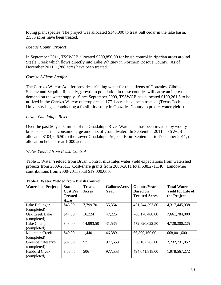loving plant species. The project was allocated \$140,000 to treat Salt cedar in the lake basin. 2,555 acres have been treated.

#### *Bosque County Project*

In September 2011, TSSWCB allocated \$299,850.00 for brush control in riparian areas around Steele Creek which flows directly into Lake Whitney in Northern Bosque County. As of December 2011, 1,288 acres have been treated.

## *Carrizo-Wilcox Aquifer*

The Carrizo-Wilcox Aquifer provides drinking water for the citizens of Gonzales, Cibolo, Schertz and Sequin. Recently, growth in population in these counties will cause an increase demand on the water supply. Since September 2009, TSSWCB has allocated \$199,261.5 to be utilized in the Carrizo-Wilcox outcrop areas. 177.1 acres have been treated. (Texas Tech University began conducting a feasibility study in Gonzales County to predict water yield.)

## *Lower Guadalupe River*

Over the past 50 years, much of the Guadalupe River Watershed has been invaded by woody brush species that consume large amounts of groundwater. In September 2011, TSSWCB allocated \$104,646.50 to the Lower Guadalupe Project. From September to December 2011, this allocation helped treat 1,000 acres.

#### *Water Yielded from Brush Control*

Table 1. Water Yielded from Brush Control illustrates water yield expectations from watershed projects from 2000-2011. Cost-share grants from 2000-2011 total \$38,271,140. Landowner contributions from 2000-2011 total \$19,000,000.

| <b>Watershed Project</b>             | <b>State</b><br><b>Cost Per</b><br><b>Treated</b><br>Acre | <b>Treated</b><br>Acres | Gallons/Acre/<br>Year | <b>Gallons/Year</b><br><b>Based on</b><br><b>Treated Acres</b> | <b>Total Water</b><br><b>Yield for Life of</b><br>the Project |
|--------------------------------------|-----------------------------------------------------------|-------------------------|-----------------------|----------------------------------------------------------------|---------------------------------------------------------------|
| Lake Ballinger<br>(completed)        | \$45.00                                                   | 7,799.70                | 55,354                | 431,744,593.80                                                 | 4,317,445,938                                                 |
| Oak Creek Lake<br>(completed)        | \$47.00                                                   | 16,224                  | 47,225                | 766,178,400.00                                                 | 7,661,784,000                                                 |
| Lake Champion<br>(completed)         | \$43.00                                                   | 14,993.50               | 31,535                | 472,820,022.50                                                 | 4,728,200,225                                                 |
| <b>Mountain Creek</b><br>(completed) | \$49.00                                                   | 1,440                   | 46,389                | 66,800,160.00                                                  | 668,001,600                                                   |
| Greenbelt Reservoir<br>(completed)   | \$87.50                                                   | 571                     | 977,553               | 558,182,763.00                                                 | 2,232,731,052                                                 |
| <b>Hubbard Creek</b><br>(completed)  | \$58.75                                                   | 506                     | 977,553               | 494,641,818.00                                                 | 1,978,567,272                                                 |

#### **Table 1. Water Yielded from Brush Control**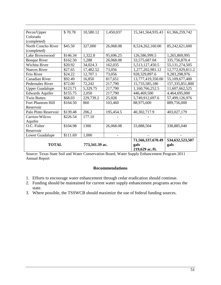| Pecos/Upper                    | \$70.78  | 10,580.12 | 1,450,037       | 15,341,564,935.43 | 61,366,259,742     |
|--------------------------------|----------|-----------|-----------------|-------------------|--------------------|
| Colorado                       |          |           |                 |                   |                    |
| (completed)                    |          |           |                 |                   |                    |
| North Concho River             | \$45.50  | 327,000   | 26,068.08       | 8,524,262,160.00  | 85,242,621,600     |
| (completed)                    |          |           |                 |                   |                    |
| Lake Brownwood                 | \$146.34 | 1,322.8   | 95,696.25       | 126,586,999.5     | 1,265,869,995      |
| <b>Bosque River</b>            | \$162.50 | 1,288     | 26,068.08       | 33,575,687.04     | 335,756,870.4      |
| Wichita River                  | \$20.92  | 34,024.3  | 162,035         | 5,513,127,450.5   | 55, 131, 274, 505  |
| <b>Nueces River</b>            | \$27.65  | 17,482.52 | 73,056          | 1,277,202,981.12  | 12,772,029,811.2   |
| Frio River                     | \$24.22  | 12,707.1  | 73,056          | 928,329,897.6     | 9,283,298,976      |
| <b>Canadian River</b>          | \$92.49  | 16,850    | 817,651         | 13,777,419,350.00 | 55,109,677,400     |
| Pedernales River               | \$72.00  | 72,242    | 217,790         | 15,733,585,180    | 157, 335, 851, 800 |
| <b>Upper Guadalupe</b>         | \$123.71 | 5,329.75  | 217,790         | 1,160,766,252.5   | 11,607,662,525     |
| <b>Edwards Aquifer</b>         | \$155.75 | 2,050     | 217,790         | 446,469,500       | 4,464,695,000      |
| <b>Twin Buttes</b>             | \$68.03  | 229,739.2 | 25,028          | 5,749,912,697.6   | 57,499,126,976     |
| Fort Phantom Hill              | \$164.50 | 860       | 103,460         | 88,975,600        | 889,756,000        |
| Reservoir                      |          |           |                 |                   |                    |
| Palo Pinto Reservoir           | \$139.48 | 206.2     | 195,454.5       | 40,302,717.9      | 403,027,179        |
| Carrizo-Wilcox                 | \$226.54 | 177.10    |                 |                   |                    |
| Aquifer                        |          |           |                 |                   |                    |
| O.C. Fisher                    | \$104.98 | 1300      | 26,068.08       | 33,888,504        | 338,885,040        |
| Reservoir                      |          |           |                 |                   |                    |
| Lower Guadalupe                | \$111.69 | 1,000     |                 |                   |                    |
|                                |          |           |                 | 71,566,337,670.49 | 534, 632, 523, 507 |
| <b>TOTAL</b><br>773,341.39 ac. |          |           | gals            | gals              |                    |
|                                |          |           | 219,629 ac./ft. |                   |                    |

Source: Texas State Soil and Water Conservation Board, Water Supply Enhancement Program 2011 Annual Report

#### **Recommendations**

- 1. Efforts to encourage water enhancement through cedar eradication should continue.
- 2. Funding should be maintained for current water supply enhancement programs across the state.
- 3. Where possible, the TSSWCB should maximize the use of federal funding sources.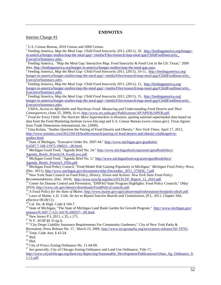#### **ENDNOTES**

#### <span id="page-52-0"></span>Interim Charge #1

<sup>1</sup> U.S. Census Bureau, 2010 Census and 2000 Census.<br><sup>2</sup> Feeding America, *Map the Meal Gap: Child Food Insecurity 2011*, (2011), 10, [http://feedingamerica.org/hunger](http://feedingamerica.org/hunger-in-america/hunger-studies/map-the-meal-gap/~/media/Files/research/map-meal-gap/ChildFoodInsecurity_)[in-america/hunger-studies/map-the-meal-gap/~/media/Files/research/map-meal-gap/ChildFoodInsecurity\\_](http://feedingamerica.org/hunger-in-america/hunger-studies/map-the-meal-gap/~/media/Files/research/map-meal-gap/ChildFoodInsecurity_)

[ExecutiveSummary.ashx.](http://feedingamerica.org/hunger-in-america/hunger-studies/map-the-meal-gap/~/media/Files/research/map-meal-gap/ChildFoodInsecurity_)<br><sup>3</sup> Feeding America, "Map the Meal Gap: Interactive Map. Food Insecurity & Food Cost in the US: Texas," 2009 data, http://feedingamerica.org/hunger-in-america/hunger-studies/map-the-meal-gap.aspx.

<sup>4</sup> Feeding America, Map the Meal Gap: Child Food Insecurity 2011, (2011), 10-11, [http://feedingamerica.org/](http://feedingamerica.org/hunger-in-america/hunger-studies/map-the-meal-gap/~/media/Files/research/map-meal-gap/ChildFoodInsecurity_) [hunger-in-america/hunger-studies/map-the-meal-gap/~/media/Files/research/map-meal-gap/ChildFoodInsecurity\\_](http://feedingamerica.org/hunger-in-america/hunger-studies/map-the-meal-gap/~/media/Files/research/map-meal-gap/ChildFoodInsecurity_)<br>ExecutiveSummary.ashx.

 $\overline{S}$  Feeding America, *Map the Meal Gap: Child Food Insecurity 2011*, (2011), 12, [http://feedingamerica.org/](http://feedingamerica.org/hunger-in-america/hunger-studies/map-the-meal-gap/~/media/Files/research/map-meal-gap/ChildFoodInsecurity_) [hunger-in-america/hunger-studies/map-the-meal-gap/~/media/Files/research/map-meal-gap/ChildFoodInsecurity\\_](http://feedingamerica.org/hunger-in-america/hunger-studies/map-the-meal-gap/~/media/Files/research/map-meal-gap/ChildFoodInsecurity_) [ExecutiveSummary.ashx.](http://feedingamerica.org/hunger-in-america/hunger-studies/map-the-meal-gap/~/media/Files/research/map-meal-gap/ChildFoodInsecurity_) <sup>6</sup> Feeding America, *Map the Meal Gap: Child Food Insecurity 2011*, (2011), 15, [http://feedingamerica.org/](http://feedingamerica.org/hunger-in-america/hunger-studies/map-the-meal-gap/~/media/Files/research/map-meal-gap/ChildFoodInsecurity_)

[hunger-in-america/hunger-studies/map-the-meal-gap/~/media/Files/research/map-meal-gap/ChildFoodInsecurity\\_](http://feedingamerica.org/hunger-in-america/hunger-studies/map-the-meal-gap/~/media/Files/research/map-meal-gap/ChildFoodInsecurity_)<br>ExecutiveSummary.ashx.

<sup>7</sup> USDA, *Access to Affordable and Nutritious Food: Measuring and Understanding Food Deserts and Their Consequences, (June 25, 2009), iii-vi,*  $\frac{http://www.ers.usda.gov/Publications/AP/AP036/AP036.pdf.}$ 

<sup>8</sup> Food for Every Child: The Need for More Supermarkets in Houston, quoting national supermarket data based on data from the Food Marketing Institute (www.fmi.org) and U.S. Census Bureau (www.census.gov). Texas figures from Trade Dimensions International, Inc. (2009).

<sup>9</sup> Gina Kolata, "Studies Question the Pairing of Food Deserts and Obesity," *New York Times*, April 17, 2012, [http://www.nytimes.com/2012/04/18/health/research/pairing-of-food-deserts-and-obesity-challenged-in-](http://www.nytimes.com/2012/04/18/health/research/pairing-of-food-deserts-and-obesity-challenged-in-studies.html)

 $\frac{\text{studies.html}}{^{10}}$  State of Michigan, "Executive Order No. 2007-44,"  $\frac{\text{http://www.michigan.gov/granholm/}}{0.4587,7-168-21975-180621-.00.html.}$  $\frac{\text{http://www.michigan.gov/granholm/}}{0.4587,7-168-21975-180621-.00.html.}$  $\frac{\text{http://www.michigan.gov/granholm/}}{0.4587,7-168-21975-180621-.00.html.}$ 

 $\frac{11}{11}$  Michigan Good Food, "Agenda Brief No. 24," [http://www.michiganfood.org/assets/goodfood/docs/](http://www.michiganfood.org/assets/goodfood/docs/Agenda_Briefs_Priority24_FoodLaws.pdf) [Agenda\\_Briefs\\_Priority24\\_FoodLaws.pdf.](http://www.michiganfood.org/assets/goodfood/docs/Agenda_Briefs_Priority24_FoodLaws.pdf) 12<br><sup>12</sup> Michigan Good Food, "Agenda Brief No. 5," [http://www.michiganfood.org/assets/goodfood/docs/](http://www.michiganfood.org/assets/goodfood/docs/Agenda_Briefs_Priority24_FoodLaws.pdfhttp:/www.michiganfood.org/assets/goodfood/docs/Agenda_Briefs_Priority5_FIDs.pdf)

[Agenda\\_Briefs\\_Priority5\\_FIDs.pdf.](http://www.michiganfood.org/assets/goodfood/docs/Agenda_Briefs_Priority24_FoodLaws.pdfhttp:/www.michiganfood.org/assets/goodfood/docs/Agenda_Briefs_Priority5_FIDs.pdf)<br><sup>13</sup> Michigan Food Policy Council, "Food Model Hub Gaining Popularity in Michigan," *Michigan Food Policy News*,<br>(Dec. 2011), http://www.michigan.gov/documents/mfpc/December\_2011\_375656\_7.

<sup>14</sup> New York State Council on Food Policy, *History, Vision and Actions: New York State Food Policy Recommendations*, (Dec. 2010), http://www.nyscfp.org/docs/NYSCFP Report 12 2010.pdf.

<sup>15</sup> Center for Disease Control and Prevention, "DNPAO State Program Highlights: Food Policy Councils," (May

2010), [http://www.cdc.gov/obesity/downloads/FoodPolicyCouncils.pdf.](http://www.cdc.gov/obesity/downloads/FoodPolicyCouncils.pdf)<br><sup>16</sup> A Food Policy for the State of Maine, [http://www.maine.gov/agriculture/mpd/information/foodpolicydraft.pdf.](http://www.maine.gov/agriculture/mpd/information/foodpolicydraft.pdf)<br><sup>17</sup> Laws of Maine, L.D. 1144, An Act to

effective 09/28/11).

<sup>18</sup> Cal. Sts. & High. Code § 104.7.

<sup>19</sup> State of Michigan, "The State of Michigan Land Bank Garden for Growth Program,"  $\frac{http://www.michigan.gov/}{http://www.michigan.gov/}}$ <br> $\frac{treasury/0.1607.7-121-34176-200357-.00.html}{20}$  New Jersey P.L.2011, c.35, c.171.

<sup>21</sup> N.Y. AGM §§ 31-(g-i).<br><sup>22</sup> "City Drops Liability Insurance Requirements For Community Gardeners," City of New York Parks &<br>Recreation, Press Release No. 17, March 23, 2006, http://www.nycgovparks.org/news/press-relea

<sup>23</sup> Tenn. Code Ann. § 43-24.<br><sup>24</sup> *Ibid.*<br><sup>25</sup> *Ibid.*<br><sup>26</sup> City of Frisco Zoning Ordinance No. 11-04-09.<br><sup>26</sup> City of Frisco Zoning Ordinance No. 11-04-09.<br><sup>27</sup> *See generally*, City of Chicago Zoning Ordinance and Land

[http://www.cityofchicago.org/dam/city/depts/zlup/Sustainable\\_Development/Publications/Urban\\_Ag\\_Ordinance\\_9-](http://www.cityofchicago.org/dam/city/depts/zlup/Sustainable_Development/Publications/Urban_Ag_Ordinance_9-1-11.pdf) [1-11.pdf.](http://www.cityofchicago.org/dam/city/depts/zlup/Sustainable_Development/Publications/Urban_Ag_Ordinance_9-1-11.pdf)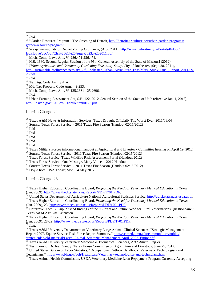<sup>28</sup> *Ibid.*<br><sup>29</sup> "Garden Resource Program," The Greening of Detroit, [http://detroitagriculture.net/urban-garden-programs/](http://detroitagriculture.net/urban-garden-programs/garden-resource-program/)

<span id="page-53-1"></span><span id="page-53-0"></span>[garden-resource-program/.](http://detroitagriculture.net/urban-garden-programs/garden-resource-program/)<br><sup>30</sup> *See generally*, City of Detroit Zoning Ordinance, (Aug. 2011), [http://www.detroitmi.gov/Portals/0/docs/](http://www.detroitmi.gov/Portals/0/docs/legislative/cpc/pdf/Ch.%2061%20Aug%2023,%202011.pdf)<br>legislative/cpc/pdf/Ch.%2061%20Aug%2023,%202011.pdf.

<sup>31</sup> Mich. Comp. Laws Ann. §§ 286.471-286.474.<br><sup>32</sup> H.B. 1660, Second Regular Session of the 96th General Assembly of the State of Missouri (2012).<br><sup>33</sup> Urban Agriculture and Community Gardening Feasibility Study, City of

<span id="page-53-2"></span>

<span id="page-53-3"></span>[http://sustainableintelligence.net/City\\_Of\\_Rochester\\_Urban\\_Agriculture\\_Feasibility\\_Study\\_Final\\_Report\\_2011-09-](http://sustainableintelligence.net/City_Of_Rochester_Urban_Agriculture_Feasibility_Study_Final_Report_2011-09-28.pdf)<br>
28.pdf.<br>
Ibid.

- 
- 

<sup>35</sup> Tex. Ag. Code Ann. § 44A.<br><sup>36</sup> Md. Tax-Property Code Ann. § 9-253.<br><sup>37</sup> Mich. Comp. Laws Ann. §§ 125.2681-125.2696.<br><sup>38</sup> *Ibid.*<br><sup>39</sup> Urban Farming Assessment Act, S.B. 122, 2012 General Session of the State of Utah [http://le.utah.gov/~2012/bills/sbillenr/sb0122.pdf.](http://le.utah.gov/~2012/bills/sbillenr/sb0122.pdf)

#### Interim Charge #2

<sup>40</sup> Texas A&M News & Information Services, Texas Drought Officially The Worst Ever, 2011/08/04<br><sup>41</sup> Source: Texas Forest Service - 2011 Texas Fire Season (Handout 02/15/2012)<br><sup>42</sup> Ibid<br><sup>43</sup> Ibid<br><sup>45</sup> Ibid<br><sup>45</sup> Ibid<br><sup>45</sup>

<sup>50</sup> Texas Forest Service - One Message, Many Voices - 2012 Handout<br><sup>51</sup> Source: Texas Forest Service - 2011 Texas Fire Season (Handout 02/15/2012)<br><sup>52</sup> Doyle Rice; USA Today; Mon, 14 May 2012

#### Interim Charge #3

<sup>53</sup> Texas Higher Education Coordinating Board, *Projecting the Need for Veterinary Medical Education in Texas*,

Tan. 2009), [http://www.thecb.state.tx.us/Reports/PDF/1701.PDF.](http://www.thecb.state.tx.us/Reports/PDF/1701.PDF)<br>
<sup>54</sup> United States Department of Agriculture National Agricultural Statistics Service, <u>http://quickstats.nass.usda.gov/</u>.<br>
<sup>55</sup> Texas Higher Education Coordi

 $\frac{36}{100}$  Hairgrove, Tom B. Unpublished findings of the "Current and Future Need for Rural Veterinarians Questionnaire," Texas A&M AgriLife Extension.

<sup>57</sup> Texas Higher Education Coordinating Board, *Projecting the Need for Veterinary Medical Education in Texas*, (Jan. 2009), 28-29, [http://www.thecb.state.tx.us/Reports/PDF/1701.PDF.](http://www.thecb.state.tx.us/Reports/PDF/1701.PDF) <sup>58</sup> *Ibid.*

<sup>59</sup> Texas A&M University Department of Veterinary Large Animal Clinical Sciences, "Strategic Management Report 2007, Equine Service Task Force Report Summary," [http://vetmed.tamu.edu/common/docs/public/](http://vetmed.tamu.edu/common/docs/public/strategicplan/old-material/Large_Animal_Strategic_Management-April_2007_Entire.pdf)

strategicplan/old-material/Large Animal Strategic Management-April 2007 Entire.pdf.<br>
<sup>60</sup> Texas A&M University Veterinary Medicine & Biomedical Sciences, 2011 Annual Report.<br>
<sup>61</sup> Testimony of Dr. Rex Gandy, Texas House Co

<sup>63</sup> Texas Animal Health Commission, USDA Veterinary Medicine Loan Repayment Program Currently Accepting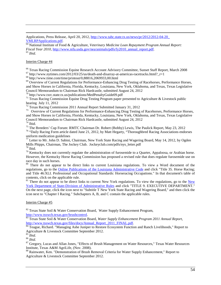Applications, Press Release, April 20, 2012, [http://www.tahc.state.tx.us/news/pr/2012/2012-04-20\\_](http://www.tahc.state.tx.us/news/pr/2012/2012-04-20_VMLRPApplications.pdf)

[VMLRPApplications.pdf.](http://www.tahc.state.tx.us/news/pr/2012/2012-04-20_VMLRPApplications.pdf) <sup>64</sup> National Institute of Food & Agriculture, *Veterinary Medicine Loan Repayment Program Annual Report: Fiscal Year 2010*, [http://www.nifa.usda.gov/nea/animals/pdfs/fy2010\\_annual\\_report.pdf.](http://www.nifa.usda.gov/nea/animals/pdfs/fy2010_annual_report.pdf) <sup>65</sup> *Ibid*.

#### Interim Charge #4

 $\overline{a}$ 

<sup>66</sup> Texas Racing Commission Equine Research Account Advisory Committee, Sunset Staff Report, March 2008<br>
<sup>67</sup> http://www.nytimes.com/2012/03/25/us/death-and-disarray-at-americas-racetracks.html?\_r=1<br>
<sup>68</sup> http://www.time

<span id="page-54-0"></span>and Show Horses in California, Florida, Kentucky, Louisiana, New York, Oklahoma, and Texas, Texas Legislative

<span id="page-54-1"></span><sup>70</sup> http://www.txrc.state.tx.us/publications/MedPenaltyGuide09.pdf<br><sup>71</sup> Texas Racing Commission Equine Drug Testing Program paper presented to Agriculture & Livestock public hearing July 11, 2012<br><sup>72</sup> Texas Racing Commission 2011 Annual Report Submitted January 31, 2012

<span id="page-54-3"></span><span id="page-54-2"></span><sup>73</sup> Overview of Current Regulations for Performance-Enhancing Drug Testing of Racehorses, Performance Horses, and Show Horses in California, Florida, Kentucky, Louisiana, New York, Oklahoma, and Texas, Texas Legislative Council Memorandum to Chairman Rick Hardcastle, submitted August 24, 2012

<sup>75</sup> The Breeders' Cup Forum: RMTC Chairman Dr. Robert (Bobby) Lewis, The Paulick Report, May 23, 2012 <sup>76</sup> "Daily Racing Form article dated June 21, 2012, by Matt Hegarty, "Thoroughbred Racing Associations endorses

uniform medication guidelines

<sup>77</sup> Letter to Mr. John D. Sabini, Chairman, New York State Racing and Wagering Board, May 14, 2012, by Ogden Mills Phipps, Chairman, The Jockey Club. Jockeyclub.com/pdfs/nys\_letter.pdf

<sup>78</sup> Ibid.  $\frac{78}{9}$  Kentucky does not currently regulate the administration of furosemide to a Quarter, Appaloosa, or Arabian horse. However, the Kentucky Horse Racing Commission has proposed a revised rule that does regulate furosemide use on race day in such horses.

<sup>80</sup> There do not appear to be direct links to current Louisiana regulations. To view a Word document of the regulations, go to the [Online Publications of the Louisiana Administrative Code](http://doa.louisiana.gov/osr/lac/books.htm) and click "Title 35. Horse Racing; and Title 46:XLI. Professional and Occupational Standards: Horseracing Occupations." In that document's table of contents, click on the applicable rule.<br><sup>81</sup> There do not appear to be direct links to current [New](http://government.westlaw.com/linkedslice/default.asp?SP=nycrr-1000) York regulations. To view the regulations, go to the New

[York Department of State-Division of Administrative Rules](http://government.westlaw.com/linkedslice/default.asp?SP=nycrr-1000) and click "TITLE 9. EXECUTIVE DEPARTMENT." On the next page, click the icon next to "Subtitle T New York State Racing and Wagering Board," and then click the icon next to "Chapter I Racing." Subchapters A, B, and C contain the applicable rules.

#### Interim Charge #5

 $82$  Texas State Soil & Water Conservation Board, Water Supply Enhancement Program,

[http://www.tsswcb.texas.gov/brushcontrol.](http://www.tsswcb.texas.gov/brushcontrol)<br><sup>83</sup> Texas State Soil & Water Conservation Board, *Water Supply Enhancement Program 2011 Annual Report*,<br>http://www.tsswcb.texas.gov/files/docs/Annual Report 2011 FINAL.pdf.

<sup>84</sup> Teague, Richard. "Managing Ashe Juniper to Restore Ecosystem Function and Ranch Livelihoods," Report to Agriculture & Livestock Committee September 2012.<br><sup>85</sup> Ibid.<br><sup>86</sup> Ibid.

<sup>87</sup> Gregory, Lucas and Allan Jones, "Effects of Brush Management on Water Resources," Texas Water Resources Institute, Texas A&M AgriLife, (Nov. 2008).

88 Rainwater, Ken. "Demonstration of Brush Removal Criteria for Water Supply Enhancement," Report to Agriculture & Livestock Committee September 2012.